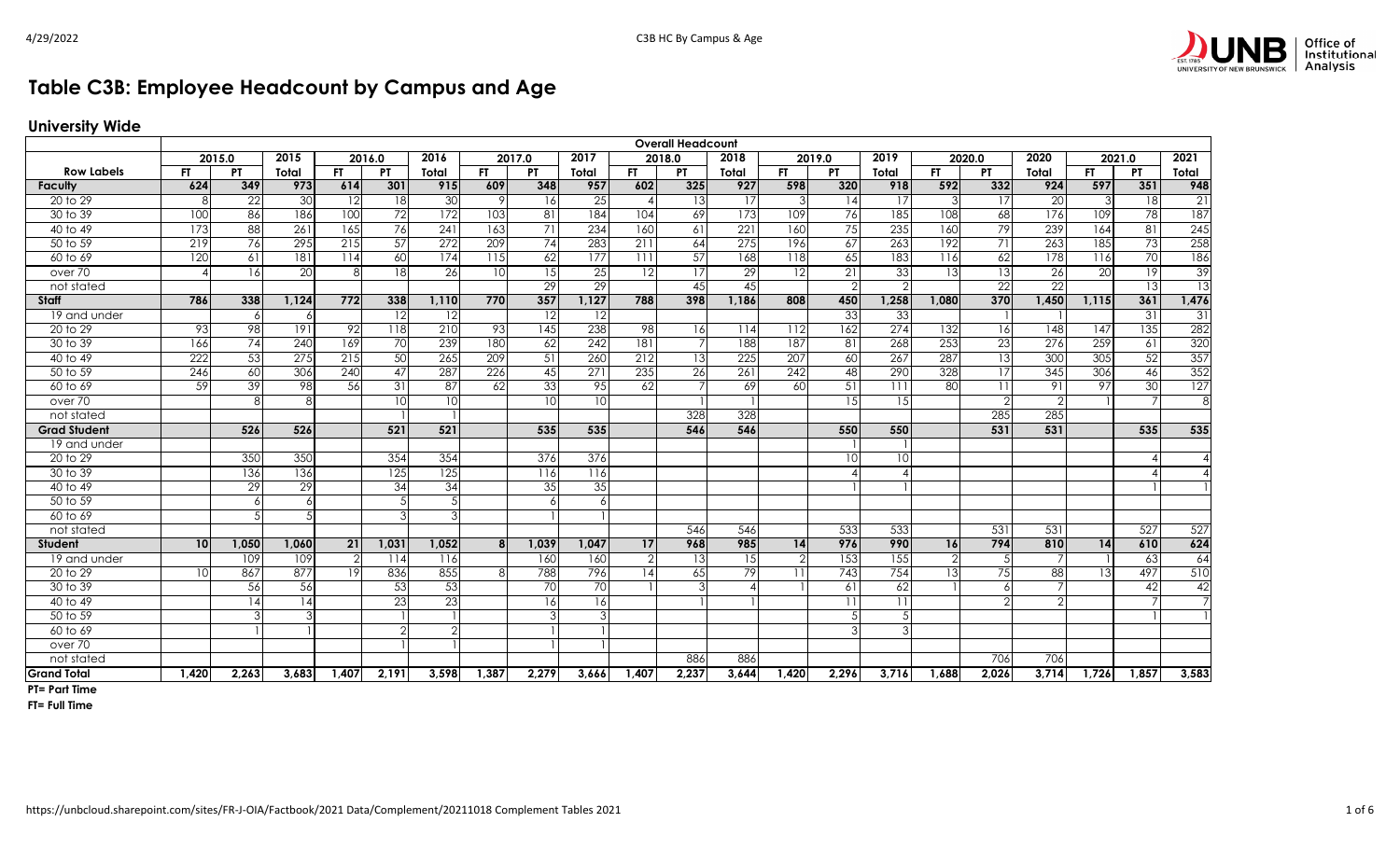

## **Table C3B: Employee Headcount by Campus and Age**

## **University Wide**

|                     | <b>Overall Headcount</b><br>2016.0<br>2017.0<br>2017<br>2018.0<br>2018<br>2019<br>2020.0<br>2020<br>2015.0<br>2015<br>2019.0<br>2021.0 |       |                  |                 |                 |                 |       |               |       |                |                |       |                  |           |                  |               |                |                  |       |           |       |
|---------------------|----------------------------------------------------------------------------------------------------------------------------------------|-------|------------------|-----------------|-----------------|-----------------|-------|---------------|-------|----------------|----------------|-------|------------------|-----------|------------------|---------------|----------------|------------------|-------|-----------|-------|
|                     |                                                                                                                                        |       |                  |                 |                 | 2016            |       |               |       |                |                |       |                  |           |                  |               |                |                  |       |           | 2021  |
| <b>Row Labels</b>   | <b>FT</b>                                                                                                                              | PT    | Total            | FT.             | <b>PT</b>       | Total           | FT.   | PT.           | Total | FT.            | PT             | Total | FT.              | <b>PT</b> | Total            | FT.           | <b>PT</b>      | Total            | FT.   | <b>PT</b> | Total |
| Faculty             | 624                                                                                                                                    | 349   | 973              | 614             | 301             | 915             | 609   | 348           | 957   | 602            | 325            | 927   | 598              | 320       | 918              | 592           | 332            | 924              | 597   | 351       | 948   |
| 20 to 29            | 8                                                                                                                                      | 22    | 30               | 12              | 18              | 30              | 9     | <b>16</b>     | 25    |                | 13             | 17    | 3                | 14        | 17               | 3             | 17             | 20               |       | 18        | 21    |
| 30 to 39            | 100                                                                                                                                    | 86    | 186              | 100             | $\overline{72}$ | 172             | 103   | 81            | 184   | 104            | 69             | 173   | 109              | 76        | 185              | 108           | 68             | 176              | 109   | 78        | 187   |
| 40 to 49            | 173                                                                                                                                    | 88    | 261              | 165             | 76              | 241             | 163   | 71            | 234   | 160            | 61             | 221   | 160              | 75        | 235              | 160           | 79             | 239              | 164   | 81        | 245   |
| 50 to 59            | 219                                                                                                                                    | 76    | 295              | 215             | 57              | 272             | 209   | 74            | 283   | 211            | 64             | 275   | 196              | 67        | 263              | 192           | 71             | 263              | 185   | 73        | 258   |
| 60 to 69            | 120                                                                                                                                    | 61    | 181              | 114             | 60              | 174             | 115   | 62            | 177   | 111            | 57             | 168   | $\overline{118}$ | 65        | 183              | 116           | 62             | 178              | 116   | 70        | 186   |
| over 70             |                                                                                                                                        | 16    | 20               | 8               | 18              | 26              | 10    | 15            | 25    | 12             | 17             | 29    | 12               | 21        | 33               | 13            | 13             | 26               | 20    | 19        | 39    |
| not stated          |                                                                                                                                        |       |                  |                 |                 |                 |       | <sup>29</sup> | 29    |                | 45             | 45    |                  | っ         | $\mathcal{P}$    |               | 22             | 22               |       | 13        | 13    |
| Staff               | 786                                                                                                                                    | 338   | 1.124            | 772             | 338             | 1.110           | 770   | 357           | 1,127 | 788            | 398            | 1,186 | 808              | 450       | 1,258            | 1,080         | 370            | 1,450            | 1,115 | 361       | 1,476 |
| 19 and under        |                                                                                                                                        | 6     | -6               |                 | 12              | 12              |       | 12            | 12    |                |                |       |                  | 33        | 33               |               |                |                  |       | 31        | 31    |
| 20 to 29            | 93                                                                                                                                     | 98    | 191              | 92              | 118             | 210             | 93    | 145           | 238   | 98             | 16             | 114   | 112              | 162       | $\overline{274}$ | 132           | 16             | 148              | 147   | 135       | 282   |
| 30 to 39            | 166                                                                                                                                    | 74    | 240              | 169             | 70              | 239             | 180   | 62            | 242   | 181            | $\overline{7}$ | 188   | 187              | 81        | 268              | 253           | 23             | $\overline{276}$ | 259   | 61        | 320   |
| 40 to 49            | 222                                                                                                                                    | 53    | $\overline{275}$ | 215             | 50              | 265             | 209   | 51            | 260   | 212            | 13             | 225   | 207              | 60        | 267              | 287           | 13             | 300              | 305   | 52        | 357   |
| 50 to 59            | 246                                                                                                                                    | 60    | 306              | 240             | $\overline{47}$ | 287             | 226   | 45            | 271   | 235            | 26             | 261   | 242              | 48        | 290              | 328           | 17             | 345              | 306   | 46        | 352   |
| 60 to 69            | 59                                                                                                                                     | 39    | 98               | 56              | 31              | $\overline{87}$ | 62    | 33            | 95    | 62             | 7 <sup>1</sup> | 69    | 60               | 51        | 111              | 80            | 11             | 91               | 97    | 30        | 127   |
| over 70             |                                                                                                                                        | 8     | 8                |                 | 10              | 10              |       | 10            | 10    |                |                |       |                  | 15        | 15               |               | $\overline{2}$ | $\mathcal{P}$    |       |           | 8     |
| not stated          |                                                                                                                                        |       |                  |                 |                 |                 |       |               |       |                | 328            | 328   |                  |           |                  |               | 285            | 285              |       |           |       |
| <b>Grad Student</b> |                                                                                                                                        | 526   | 526              |                 | 521             | 521             |       | 535           | 535   |                | 546            | 546   |                  | 550       | 550              |               | 531            | 531              |       | 535       | 535   |
| 19 and under        |                                                                                                                                        |       |                  |                 |                 |                 |       |               |       |                |                |       |                  |           |                  |               |                |                  |       |           |       |
| 20 to 29            |                                                                                                                                        | 350   | 350              |                 | 354             | 354             |       | 376           | 376   |                |                |       |                  | 10        | 10               |               |                |                  |       |           |       |
| 30 to 39            |                                                                                                                                        | 136   | 136              |                 | 125             | 125             |       | 116           | 116   |                |                |       |                  |           |                  |               |                |                  |       |           |       |
| 40 to 49            |                                                                                                                                        | 29    | 29               |                 | 34              | 34              |       | 35            | 35    |                |                |       |                  |           |                  |               |                |                  |       |           |       |
| 50 to 59            |                                                                                                                                        | 6     | $\overline{a}$   |                 | 5               |                 |       | 6             | 6     |                |                |       |                  |           |                  |               |                |                  |       |           |       |
| 60 to 69            |                                                                                                                                        |       |                  |                 | 3               |                 |       |               |       |                |                |       |                  |           |                  |               |                |                  |       |           |       |
| not stated          |                                                                                                                                        |       |                  |                 |                 |                 |       |               |       |                | 546            | 546   |                  | 533       | 533              |               | 531            | 531              |       | 527       | 527   |
| <b>Student</b>      | 10                                                                                                                                     | 1,050 | 1,060            | 21              | 1,031           | 1.052           | 8     | 1,039         | 1,047 | 17             | 968            | 985   | 14               | 976       | 990              | 16            | 794            | 810              | 14    | 610       | 624   |
| 19 and under        |                                                                                                                                        | 109   | 109              | $\overline{2}$  | 114             | 116             |       | 160           | 160   | $\overline{2}$ | 13             | 15    | $\overline{2}$   | 153       | 155              | $\mathcal{P}$ |                |                  |       | 63        | 64    |
| 20 to 29            | 10                                                                                                                                     | 867   | 877              | $\overline{19}$ | 836             | 855             |       | 788           | 796   | 14             | 65             | 79    | 11               | 743       | 754              | 13            | 75             | 88               |       | 497       | 510   |
| 30 to 39            |                                                                                                                                        | 56    | 56               |                 | 53              | 53              |       | 70            | 70    |                | 3              |       |                  | 61        | 62               |               |                |                  |       | 42        | 42    |
| 40 to 49            |                                                                                                                                        | 14    | 14               |                 | 23              | 23              |       | 16            | 16    |                |                |       |                  | 11        | 11               |               | ↷              |                  |       |           |       |
| 50 to 59            |                                                                                                                                        |       | З                |                 |                 |                 |       |               | 3     |                |                |       |                  |           |                  |               |                |                  |       |           |       |
| 60 to 69            |                                                                                                                                        |       |                  |                 | $\mathcal{P}$   |                 |       |               |       |                |                |       |                  |           |                  |               |                |                  |       |           |       |
| over 70             |                                                                                                                                        |       |                  |                 |                 |                 |       |               |       |                |                |       |                  |           |                  |               |                |                  |       |           |       |
| not stated          |                                                                                                                                        |       |                  |                 |                 |                 |       |               |       |                | 886            | 886   |                  |           |                  |               | 706            | 706              |       |           |       |
| <b>Grand Total</b>  | 1,420                                                                                                                                  | 2,263 | 3.683            | 1.407           | 2,191           | 3.598           | 1,387 | 2,279         | 3.666 | 1.407          | 2,237          | 3,644 | 1.420            | 2,296     | 3,716            | 1.688         | 2,026          | 3,714            | 1,726 | 1,857     | 3,583 |

**PT= Part Time**

**FT= Full Time**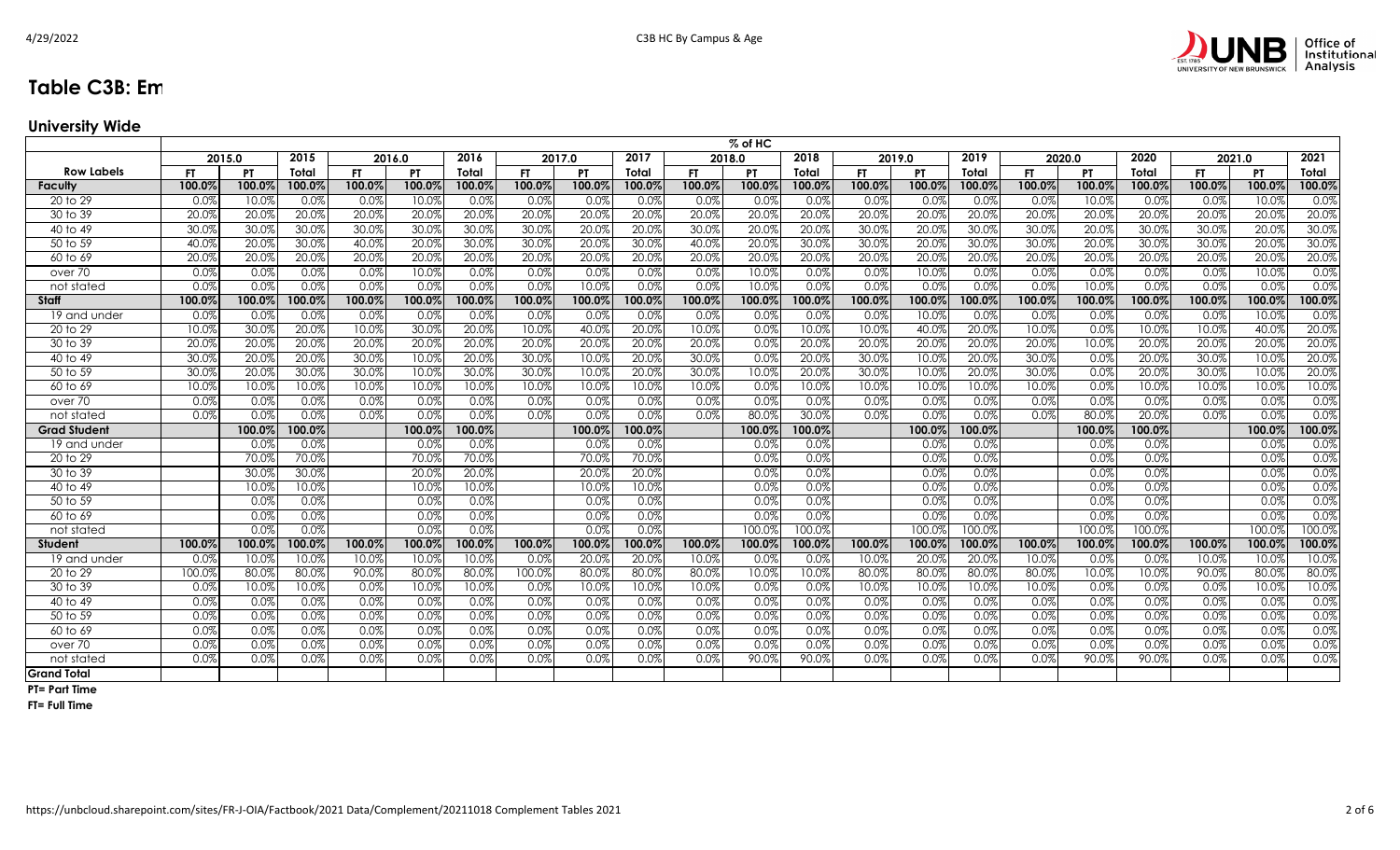

## **Table C3B: Em**

**University Wide**

| 2015.0<br>2015<br>2016.0<br>2016<br>2017.0<br>2017<br>2018.0<br>2018<br>2019.0<br>2019<br>2020.0<br>2020<br>2021.0<br>2021<br><b>Row Labels</b><br><b>FT</b><br><b>PT</b><br><b>FT</b><br><b>PT</b><br>FT.<br>FT.<br><b>PT</b><br><b>FT</b><br><b>PT</b><br>FT.<br><b>PT</b><br><b>PT</b><br>PT<br>Total<br><b>FT</b><br>Total<br>Total<br>Total<br>Total<br>Total<br>Total<br>100.0%<br>100.09<br>100.0%<br>100.0%<br>100.0%<br>100.0%<br>100.0%<br>100.0%<br>100.09<br>100.0%<br>100.0%<br>100.0%<br>100.0%<br>100.0%<br>100.0%<br>100.0%<br>100.09<br>100.0%<br>100.0%<br>100.0%<br>100.0%<br>Faculty<br>10.0%<br>0.0%<br>0.0%<br>0.0%<br>20 to 29<br>0.0%<br>10.09<br>0.0%<br>0.0%<br>0.0%<br>0.0%<br>0.0%<br>0.0%<br>0.0%<br>0.0%<br>0.0%<br>0.0%<br>0.0%<br>0.0%<br>10.0%<br>0.0%<br>10.0%<br>20.0%<br>30 to 39<br>20.0%<br>20.0%<br>20.0%<br>20.0%<br>20.0%<br>20.0%<br>20.0%<br>20.0%<br>20.0%<br>20.0%<br>20.0%<br>20.0%<br>20.0%<br>20.0%<br>20.09<br>20.0%<br>20.0%<br>20.0%<br>20.0%<br>20.0%<br>30.0%<br>30.0%<br>30.0%<br>30.0%<br>20.0%<br>30.0%<br>30.0%<br>30.0%<br>20.0%<br>30.0%<br>30.0%<br>30.0%<br>30.0%<br>30.0%<br>20.0%<br>20.0%<br>20.0%<br>20.0%<br>30.0%<br>30.0%<br>20.0%<br>40 to 49<br>30.0%<br>20.0%<br>30.0%<br>30.0%<br>30.0%<br>50 to 59<br>40.0%<br>20.0%<br>30.0%<br>40.0%<br>20.0%<br>30.0%<br>20.0%<br>30.0%<br>40.0%<br>30.0%<br>20.0%<br>30.0%<br>30.0%<br>20.0%<br>30.0%<br>20.0%<br>20.0%<br>20.0%<br>20.0%<br>20.0%<br>20.0%<br>20.0%<br>20.0%<br>20.0%<br>20.0%<br>20.0%<br>20.0%<br>20.0%<br>20.0%<br>20.0%<br>20.0%<br>20.0%<br>20.0%<br>20.0%<br>20.0%<br>20.0%<br>60 to 69<br>20.0%<br>0.0%<br>10.0%<br>0.0%<br>0.0%<br>0.0%<br>10.0%<br>0.0%<br>10.0%<br>0.0%<br>0.0%<br>0.0%<br>10.0%<br>0.0%<br>0.0%<br>0.0%<br>0.0%<br>0.0%<br>0.0%<br>0.0%<br>0.0%<br>0.0%<br>over 70<br>0.0%<br>0.0%<br>0.0%<br>0.0%<br>0.0%<br>0.0%<br>0.0%<br>0.0%<br>0.0%<br>0.0%<br>0.0%<br>0.0%<br>0.0%<br>0.0%<br>0.0%<br>0.0%<br>10.0%<br>0.0%<br>10.0%<br>0.0%<br>10.0%<br>not stated<br>100.0%<br>100.0%<br>100.0%<br>100.0%<br>100.0%<br>100.0%<br>100.0%<br>100.0%<br>100.0%<br>100.0%<br>100.0%<br>100.0%<br>100.0%<br>100.0%<br>100.0%<br>100.0%<br>100.0%<br>100.0%<br><b>Staff</b><br>100.0%<br>100.0%<br>100.0%<br>0.0%<br>0.0%<br>0.0%<br>0.09<br>0.0%<br>0.0%<br>0.0%<br>0.0%<br>0.0%<br>0.0%<br>0.0%<br>0.0%<br>0.0%<br>0.0%<br>0.0%<br>10.09<br>0.0%<br>0.0%<br>0.0%<br>0.0%<br>10.0%<br>19 and under<br>20.0%<br>10.0%<br>10.0%<br>20.0%<br>10.0%<br>30.09<br>20.0%<br>10.0%<br>30.0%<br>10.0%<br>20.0%<br>10.0%<br>0.0%<br>10.0%<br>10.0%<br>20.0%<br>10.0%<br>0.0%<br>40.0%<br>20 to 29<br>40.0%<br>40.09<br>20.0%<br>20.0%<br>20.0%<br>20.0%<br>20.0%<br>20.0%<br>20.0%<br>20.0%<br>20.0%<br>0.0%<br>20.0%<br>20.0%<br>20.0%<br>20.0%<br>20.0%<br>10.0%<br>20.0%<br>20.0%<br>20.0%<br>20.0%<br>30 to 39<br>20.0%<br>20.0%<br>30.0%<br>30.0%<br>20.0%<br>30.0%<br>20.0%<br>20.0%<br>30.0%<br>10.0%<br>30.0%<br>10.0%<br>20.0%<br>0.0%<br>20.0%<br>30.0%<br>10.09<br>20.0%<br>30.0%<br>0.0%<br>20.0%<br>10.0%<br>40 to 49<br>20.0%<br>30.0%<br>30.0%<br>10.0%<br>30.0%<br>30.0%<br>30.0%<br>10.0%<br>20.0%<br>30.0%<br>20.0%<br>20.0%<br>30.0%<br>50 to 59<br>20.09<br>30.0%<br>10.0%<br>20.0%<br>10.0%<br>30.0%<br>0.0%<br>10.0%<br>10.0%<br>10.0%<br>10.0%<br>10.0%<br>10.0%<br>10.0%<br>10.0%<br>0.0%<br>10.0%<br>10.0%<br>10.0%<br>10.0%<br>0.0%<br>10.0%<br>10.0%<br>10.0%<br>60 to 69<br>10.09<br>10.0%<br>10.0%<br>10.0%<br>10.0%<br>0.0%<br>0.0%<br>0.0%<br>0.0%<br>0.0%<br>0.0%<br>0.0%<br>0.0%<br>0.0%<br>0.0%<br>0.0%<br>0.0%<br>0.0%<br>0.0%<br>0.0%<br>0.0%<br>0.0%<br>0.0%<br>0.0%<br>0.0%<br>0.0%<br>over 70<br>0.0%<br>0.0%<br>20.0%<br>0.0%<br>0.0%<br>0.0%<br>0.0%<br>0.0%<br>0.0%<br>0.0%<br>0.0%<br>0.0%<br>0.0%<br>80.0%<br>30.0%<br>0.0%<br>0.0%<br>0.0%<br>0.0%<br>80.0%<br>0.0%<br>not stated<br>100.0%<br><b>Grad Student</b><br>100.0%<br>100.0%<br>100.0%<br>100.0%<br>100.0%<br>100.0%<br>100.0%<br>100.0%<br>100.0%<br>100.0%<br>100.0%<br>100.0%<br>100.0%<br>0.0%<br>0.0%<br>0.0%<br>0.0%<br>0.0%<br>0.0%<br>0.0%<br>0.0%<br>0.0%<br>0.0%<br>0.0%<br>0.0%<br>0.0%<br>0.0%<br>19 and under<br>70.0%<br>70.0%<br>0.0%<br>20 to 29<br>70.09<br>70.0%<br>70.0%<br>70.0%<br>0.0%<br>0.0%<br>0.0%<br>0.0%<br>0.0%<br>0.0%<br>0.0%<br>0.0%<br>0.0%<br>30.09<br>30.0%<br>20.0%<br>20.0%<br>20.0%<br>20.0%<br>0.0%<br>0.0%<br>0.0%<br>0.0%<br>0.0%<br>0.0%<br>30 to 39<br>0.0%<br>0.0%<br>0.0%<br>40 to 49<br>10.09<br>10.0%<br>10.0%<br>10.0%<br>10.0%<br>0.0%<br>0.0%<br>0.0%<br>0.0%<br>0.0%<br>10.0%<br>0.0%<br>50 to 59<br>0.0%<br>0.0%<br>0.0%<br>0.0%<br>0.0%<br>0.0%<br>0.0%<br>0.0%<br>0.0%<br>0.0%<br>0.0%<br>0.0%<br>0.0%<br>0.0%<br>0.0%<br>0.0%<br>0.0%<br>0.0%<br>0.0%<br>0.0%<br>0.0%<br>60 to 69<br>0.0%<br>0.0%<br>0.0%<br>0.0%<br>0.0%<br>0.0%<br>0.09<br>0.0%<br>0.0%<br>0.0%<br>0.0%<br>0.0%<br>100.0%<br>100.0%<br>100.09<br>100.0%<br>100.0%<br>100.09<br>100.0%<br>100.0%<br>not stated<br>100.0%<br>$100.0\%$<br>100.0%<br>100.0%<br>$100.0\%$<br>100.0%<br>100.0%<br>100.0%<br>100.0%<br>100.0%<br>100.0%<br>100.0%<br>100.0%<br>100.0%<br>100.0%<br>100.0%<br>100.0%<br>100.0%<br>100.0%<br>100.0%<br>Student<br>10.0%<br>10.0%<br>10.0%<br>10.0%<br>20.0%<br>10.0%<br>0.0%<br>10.0%<br>10.0%<br>10.0%<br>0.0%<br>10.09<br>10.0%<br>10.0%<br>0.0%<br>20.0%<br>20.0%<br>0.0%<br>0.0%<br>20.09<br>0.0%<br>19 and under<br>80.0%<br>20 to 29<br>100.0%<br>80.09<br>80.0%<br>90.0%<br>80.0%<br>80.0%<br>100.0%<br>80.0%<br>80.0%<br>80.0%<br>10.0%<br>10.0%<br>80.0%<br>80.09<br>80.0%<br>80.0%<br>10.0%<br>10.0%<br>90.0%<br>80.0%<br>10.0%<br>10.0%<br>10.0%<br>30 to 39<br>0.0%<br>10.09<br>10.0%<br>0.0%<br>10.0%<br>0.0%<br>10.0%<br>10.0%<br>0.0%<br>0.0%<br>10.0%<br>10.0%<br>10.0%<br>0.0%<br>0.0%<br>10.0%<br>10.0%<br>0.0%<br>0.0%<br>0.0%<br>0.0%<br>0.0%<br>0.0%<br>0.0%<br>0.0%<br>0.0%<br>0.0%<br>0.0%<br>40 to 49<br>0.0%<br>0.0%<br>0.0%<br>0.0%<br>0.0%<br>0.0%<br>0.0%<br>0.0%<br>0.0%<br>0.0%<br>0.0%<br>0.0%<br>0.0%<br>0.0%<br>0.0%<br>0.0%<br>0.0%<br>0.0%<br>0.0%<br>0.0%<br>0.0%<br>0.0%<br>0.0%<br>0.0%<br>0.0%<br>0.0%<br>50 to 59<br>0.0%<br>0.0%<br>0.0%<br>0.0%<br>0.0%<br>0.0%<br>0.0%<br>0.0%<br>0.0%<br>0.0%<br>0.0%<br>0.0%<br>0.0%<br>0.0%<br>0.0%<br>0.0%<br>0.0%<br>0.0%<br>0.0%<br>0.0%<br>0.0%<br>0.0%<br>0.0%<br>0.0%<br>0.0%<br>0.0%<br>60 to 69<br>0.0%<br>0.0%<br>0.0%<br>0.0%<br>0.0%<br>0.0%<br>0.0%<br>0.0%<br>0.0%<br>0.0%<br>0.0%<br>0.0%<br>0.0%<br>0.0%<br>0.0%<br>0.0%<br>0.0%<br>0.0%<br>0.0%<br>0.0%<br>0.0%<br>0.0%<br>over 70<br>0.0%<br>0.0%<br>0.0%<br>0.0%<br>90.0%<br>90.0%<br>0.0%<br>90.0%<br>0.0%<br>0.0%<br>0.0%<br>0.0%<br>0.0%<br>0.0%<br>0.0%<br>0.0%<br>0.0%<br>0.0%<br>0.0%<br>0.0%<br>90.0%<br>not stated<br><b>Grand Total</b> | $\%$ of HC |  |  |  |  |  |  |  |  |  |  |  |  |  |  |  |  |  |  |  |           |  |  |
|----------------------------------------------------------------------------------------------------------------------------------------------------------------------------------------------------------------------------------------------------------------------------------------------------------------------------------------------------------------------------------------------------------------------------------------------------------------------------------------------------------------------------------------------------------------------------------------------------------------------------------------------------------------------------------------------------------------------------------------------------------------------------------------------------------------------------------------------------------------------------------------------------------------------------------------------------------------------------------------------------------------------------------------------------------------------------------------------------------------------------------------------------------------------------------------------------------------------------------------------------------------------------------------------------------------------------------------------------------------------------------------------------------------------------------------------------------------------------------------------------------------------------------------------------------------------------------------------------------------------------------------------------------------------------------------------------------------------------------------------------------------------------------------------------------------------------------------------------------------------------------------------------------------------------------------------------------------------------------------------------------------------------------------------------------------------------------------------------------------------------------------------------------------------------------------------------------------------------------------------------------------------------------------------------------------------------------------------------------------------------------------------------------------------------------------------------------------------------------------------------------------------------------------------------------------------------------------------------------------------------------------------------------------------------------------------------------------------------------------------------------------------------------------------------------------------------------------------------------------------------------------------------------------------------------------------------------------------------------------------------------------------------------------------------------------------------------------------------------------------------------------------------------------------------------------------------------------------------------------------------------------------------------------------------------------------------------------------------------------------------------------------------------------------------------------------------------------------------------------------------------------------------------------------------------------------------------------------------------------------------------------------------------------------------------------------------------------------------------------------------------------------------------------------------------------------------------------------------------------------------------------------------------------------------------------------------------------------------------------------------------------------------------------------------------------------------------------------------------------------------------------------------------------------------------------------------------------------------------------------------------------------------------------------------------------------------------------------------------------------------------------------------------------------------------------------------------------------------------------------------------------------------------------------------------------------------------------------------------------------------------------------------------------------------------------------------------------------------------------------------------------------------------------------------------------------------------------------------------------------------------------------------------------------------------------------------------------------------------------------------------------------------------------------------------------------------------------------------------------------------------------------------------------------------------------------------------------------------------------------------------------------------------------------------------------------------------------------------------------------------------------------------------------------------------------------------------------------------------------------------------------------------------------------------------------------------------------------------------------------------------------------------------------------------------------------------------------------------------------------------------------------------------------------------------------------------------------------------------------------------------------------------------------------------------------------------------------------------------------------------------------------------------------------------------------------------------------------------------------------------------------------------------------------------------------------------------------------------------------------------------------------------------------------------------------------------------------------------------------------------------------------------------------------------------------------------------------------------------------------------------------------------------------------------------------------------------------------------------------------------------------------------------------------------------------------------------------------------------------------------------------------------------------------|------------|--|--|--|--|--|--|--|--|--|--|--|--|--|--|--|--|--|--|--|-----------|--|--|
|                                                                                                                                                                                                                                                                                                                                                                                                                                                                                                                                                                                                                                                                                                                                                                                                                                                                                                                                                                                                                                                                                                                                                                                                                                                                                                                                                                                                                                                                                                                                                                                                                                                                                                                                                                                                                                                                                                                                                                                                                                                                                                                                                                                                                                                                                                                                                                                                                                                                                                                                                                                                                                                                                                                                                                                                                                                                                                                                                                                                                                                                                                                                                                                                                                                                                                                                                                                                                                                                                                                                                                                                                                                                                                                                                                                                                                                                                                                                                                                                                                                                                                                                                                                                                                                                                                                                                                                                                                                                                                                                                                                                                                                                                                                                                                                                                                                                                                                                                                                                                                                                                                                                                                                                                                                                                                                                                                                                                                                                                                                                                                                                                                                                                                                                                                                                                                                                                                                                                                                                                                                                                                                                                                                                                                                                                                                                                                                                                                                                                                                                                                                                                                                                                                                                                                                              |            |  |  |  |  |  |  |  |  |  |  |  |  |  |  |  |  |  |  |  |           |  |  |
|                                                                                                                                                                                                                                                                                                                                                                                                                                                                                                                                                                                                                                                                                                                                                                                                                                                                                                                                                                                                                                                                                                                                                                                                                                                                                                                                                                                                                                                                                                                                                                                                                                                                                                                                                                                                                                                                                                                                                                                                                                                                                                                                                                                                                                                                                                                                                                                                                                                                                                                                                                                                                                                                                                                                                                                                                                                                                                                                                                                                                                                                                                                                                                                                                                                                                                                                                                                                                                                                                                                                                                                                                                                                                                                                                                                                                                                                                                                                                                                                                                                                                                                                                                                                                                                                                                                                                                                                                                                                                                                                                                                                                                                                                                                                                                                                                                                                                                                                                                                                                                                                                                                                                                                                                                                                                                                                                                                                                                                                                                                                                                                                                                                                                                                                                                                                                                                                                                                                                                                                                                                                                                                                                                                                                                                                                                                                                                                                                                                                                                                                                                                                                                                                                                                                                                                              |            |  |  |  |  |  |  |  |  |  |  |  |  |  |  |  |  |  |  |  |           |  |  |
|                                                                                                                                                                                                                                                                                                                                                                                                                                                                                                                                                                                                                                                                                                                                                                                                                                                                                                                                                                                                                                                                                                                                                                                                                                                                                                                                                                                                                                                                                                                                                                                                                                                                                                                                                                                                                                                                                                                                                                                                                                                                                                                                                                                                                                                                                                                                                                                                                                                                                                                                                                                                                                                                                                                                                                                                                                                                                                                                                                                                                                                                                                                                                                                                                                                                                                                                                                                                                                                                                                                                                                                                                                                                                                                                                                                                                                                                                                                                                                                                                                                                                                                                                                                                                                                                                                                                                                                                                                                                                                                                                                                                                                                                                                                                                                                                                                                                                                                                                                                                                                                                                                                                                                                                                                                                                                                                                                                                                                                                                                                                                                                                                                                                                                                                                                                                                                                                                                                                                                                                                                                                                                                                                                                                                                                                                                                                                                                                                                                                                                                                                                                                                                                                                                                                                                                              |            |  |  |  |  |  |  |  |  |  |  |  |  |  |  |  |  |  |  |  |           |  |  |
|                                                                                                                                                                                                                                                                                                                                                                                                                                                                                                                                                                                                                                                                                                                                                                                                                                                                                                                                                                                                                                                                                                                                                                                                                                                                                                                                                                                                                                                                                                                                                                                                                                                                                                                                                                                                                                                                                                                                                                                                                                                                                                                                                                                                                                                                                                                                                                                                                                                                                                                                                                                                                                                                                                                                                                                                                                                                                                                                                                                                                                                                                                                                                                                                                                                                                                                                                                                                                                                                                                                                                                                                                                                                                                                                                                                                                                                                                                                                                                                                                                                                                                                                                                                                                                                                                                                                                                                                                                                                                                                                                                                                                                                                                                                                                                                                                                                                                                                                                                                                                                                                                                                                                                                                                                                                                                                                                                                                                                                                                                                                                                                                                                                                                                                                                                                                                                                                                                                                                                                                                                                                                                                                                                                                                                                                                                                                                                                                                                                                                                                                                                                                                                                                                                                                                                                              |            |  |  |  |  |  |  |  |  |  |  |  |  |  |  |  |  |  |  |  |           |  |  |
|                                                                                                                                                                                                                                                                                                                                                                                                                                                                                                                                                                                                                                                                                                                                                                                                                                                                                                                                                                                                                                                                                                                                                                                                                                                                                                                                                                                                                                                                                                                                                                                                                                                                                                                                                                                                                                                                                                                                                                                                                                                                                                                                                                                                                                                                                                                                                                                                                                                                                                                                                                                                                                                                                                                                                                                                                                                                                                                                                                                                                                                                                                                                                                                                                                                                                                                                                                                                                                                                                                                                                                                                                                                                                                                                                                                                                                                                                                                                                                                                                                                                                                                                                                                                                                                                                                                                                                                                                                                                                                                                                                                                                                                                                                                                                                                                                                                                                                                                                                                                                                                                                                                                                                                                                                                                                                                                                                                                                                                                                                                                                                                                                                                                                                                                                                                                                                                                                                                                                                                                                                                                                                                                                                                                                                                                                                                                                                                                                                                                                                                                                                                                                                                                                                                                                                                              |            |  |  |  |  |  |  |  |  |  |  |  |  |  |  |  |  |  |  |  |           |  |  |
|                                                                                                                                                                                                                                                                                                                                                                                                                                                                                                                                                                                                                                                                                                                                                                                                                                                                                                                                                                                                                                                                                                                                                                                                                                                                                                                                                                                                                                                                                                                                                                                                                                                                                                                                                                                                                                                                                                                                                                                                                                                                                                                                                                                                                                                                                                                                                                                                                                                                                                                                                                                                                                                                                                                                                                                                                                                                                                                                                                                                                                                                                                                                                                                                                                                                                                                                                                                                                                                                                                                                                                                                                                                                                                                                                                                                                                                                                                                                                                                                                                                                                                                                                                                                                                                                                                                                                                                                                                                                                                                                                                                                                                                                                                                                                                                                                                                                                                                                                                                                                                                                                                                                                                                                                                                                                                                                                                                                                                                                                                                                                                                                                                                                                                                                                                                                                                                                                                                                                                                                                                                                                                                                                                                                                                                                                                                                                                                                                                                                                                                                                                                                                                                                                                                                                                                              |            |  |  |  |  |  |  |  |  |  |  |  |  |  |  |  |  |  |  |  |           |  |  |
|                                                                                                                                                                                                                                                                                                                                                                                                                                                                                                                                                                                                                                                                                                                                                                                                                                                                                                                                                                                                                                                                                                                                                                                                                                                                                                                                                                                                                                                                                                                                                                                                                                                                                                                                                                                                                                                                                                                                                                                                                                                                                                                                                                                                                                                                                                                                                                                                                                                                                                                                                                                                                                                                                                                                                                                                                                                                                                                                                                                                                                                                                                                                                                                                                                                                                                                                                                                                                                                                                                                                                                                                                                                                                                                                                                                                                                                                                                                                                                                                                                                                                                                                                                                                                                                                                                                                                                                                                                                                                                                                                                                                                                                                                                                                                                                                                                                                                                                                                                                                                                                                                                                                                                                                                                                                                                                                                                                                                                                                                                                                                                                                                                                                                                                                                                                                                                                                                                                                                                                                                                                                                                                                                                                                                                                                                                                                                                                                                                                                                                                                                                                                                                                                                                                                                                                              |            |  |  |  |  |  |  |  |  |  |  |  |  |  |  |  |  |  |  |  |           |  |  |
|                                                                                                                                                                                                                                                                                                                                                                                                                                                                                                                                                                                                                                                                                                                                                                                                                                                                                                                                                                                                                                                                                                                                                                                                                                                                                                                                                                                                                                                                                                                                                                                                                                                                                                                                                                                                                                                                                                                                                                                                                                                                                                                                                                                                                                                                                                                                                                                                                                                                                                                                                                                                                                                                                                                                                                                                                                                                                                                                                                                                                                                                                                                                                                                                                                                                                                                                                                                                                                                                                                                                                                                                                                                                                                                                                                                                                                                                                                                                                                                                                                                                                                                                                                                                                                                                                                                                                                                                                                                                                                                                                                                                                                                                                                                                                                                                                                                                                                                                                                                                                                                                                                                                                                                                                                                                                                                                                                                                                                                                                                                                                                                                                                                                                                                                                                                                                                                                                                                                                                                                                                                                                                                                                                                                                                                                                                                                                                                                                                                                                                                                                                                                                                                                                                                                                                                              |            |  |  |  |  |  |  |  |  |  |  |  |  |  |  |  |  |  |  |  |           |  |  |
|                                                                                                                                                                                                                                                                                                                                                                                                                                                                                                                                                                                                                                                                                                                                                                                                                                                                                                                                                                                                                                                                                                                                                                                                                                                                                                                                                                                                                                                                                                                                                                                                                                                                                                                                                                                                                                                                                                                                                                                                                                                                                                                                                                                                                                                                                                                                                                                                                                                                                                                                                                                                                                                                                                                                                                                                                                                                                                                                                                                                                                                                                                                                                                                                                                                                                                                                                                                                                                                                                                                                                                                                                                                                                                                                                                                                                                                                                                                                                                                                                                                                                                                                                                                                                                                                                                                                                                                                                                                                                                                                                                                                                                                                                                                                                                                                                                                                                                                                                                                                                                                                                                                                                                                                                                                                                                                                                                                                                                                                                                                                                                                                                                                                                                                                                                                                                                                                                                                                                                                                                                                                                                                                                                                                                                                                                                                                                                                                                                                                                                                                                                                                                                                                                                                                                                                              |            |  |  |  |  |  |  |  |  |  |  |  |  |  |  |  |  |  |  |  |           |  |  |
|                                                                                                                                                                                                                                                                                                                                                                                                                                                                                                                                                                                                                                                                                                                                                                                                                                                                                                                                                                                                                                                                                                                                                                                                                                                                                                                                                                                                                                                                                                                                                                                                                                                                                                                                                                                                                                                                                                                                                                                                                                                                                                                                                                                                                                                                                                                                                                                                                                                                                                                                                                                                                                                                                                                                                                                                                                                                                                                                                                                                                                                                                                                                                                                                                                                                                                                                                                                                                                                                                                                                                                                                                                                                                                                                                                                                                                                                                                                                                                                                                                                                                                                                                                                                                                                                                                                                                                                                                                                                                                                                                                                                                                                                                                                                                                                                                                                                                                                                                                                                                                                                                                                                                                                                                                                                                                                                                                                                                                                                                                                                                                                                                                                                                                                                                                                                                                                                                                                                                                                                                                                                                                                                                                                                                                                                                                                                                                                                                                                                                                                                                                                                                                                                                                                                                                                              |            |  |  |  |  |  |  |  |  |  |  |  |  |  |  |  |  |  |  |  |           |  |  |
|                                                                                                                                                                                                                                                                                                                                                                                                                                                                                                                                                                                                                                                                                                                                                                                                                                                                                                                                                                                                                                                                                                                                                                                                                                                                                                                                                                                                                                                                                                                                                                                                                                                                                                                                                                                                                                                                                                                                                                                                                                                                                                                                                                                                                                                                                                                                                                                                                                                                                                                                                                                                                                                                                                                                                                                                                                                                                                                                                                                                                                                                                                                                                                                                                                                                                                                                                                                                                                                                                                                                                                                                                                                                                                                                                                                                                                                                                                                                                                                                                                                                                                                                                                                                                                                                                                                                                                                                                                                                                                                                                                                                                                                                                                                                                                                                                                                                                                                                                                                                                                                                                                                                                                                                                                                                                                                                                                                                                                                                                                                                                                                                                                                                                                                                                                                                                                                                                                                                                                                                                                                                                                                                                                                                                                                                                                                                                                                                                                                                                                                                                                                                                                                                                                                                                                                              |            |  |  |  |  |  |  |  |  |  |  |  |  |  |  |  |  |  |  |  |           |  |  |
|                                                                                                                                                                                                                                                                                                                                                                                                                                                                                                                                                                                                                                                                                                                                                                                                                                                                                                                                                                                                                                                                                                                                                                                                                                                                                                                                                                                                                                                                                                                                                                                                                                                                                                                                                                                                                                                                                                                                                                                                                                                                                                                                                                                                                                                                                                                                                                                                                                                                                                                                                                                                                                                                                                                                                                                                                                                                                                                                                                                                                                                                                                                                                                                                                                                                                                                                                                                                                                                                                                                                                                                                                                                                                                                                                                                                                                                                                                                                                                                                                                                                                                                                                                                                                                                                                                                                                                                                                                                                                                                                                                                                                                                                                                                                                                                                                                                                                                                                                                                                                                                                                                                                                                                                                                                                                                                                                                                                                                                                                                                                                                                                                                                                                                                                                                                                                                                                                                                                                                                                                                                                                                                                                                                                                                                                                                                                                                                                                                                                                                                                                                                                                                                                                                                                                                                              |            |  |  |  |  |  |  |  |  |  |  |  |  |  |  |  |  |  |  |  |           |  |  |
|                                                                                                                                                                                                                                                                                                                                                                                                                                                                                                                                                                                                                                                                                                                                                                                                                                                                                                                                                                                                                                                                                                                                                                                                                                                                                                                                                                                                                                                                                                                                                                                                                                                                                                                                                                                                                                                                                                                                                                                                                                                                                                                                                                                                                                                                                                                                                                                                                                                                                                                                                                                                                                                                                                                                                                                                                                                                                                                                                                                                                                                                                                                                                                                                                                                                                                                                                                                                                                                                                                                                                                                                                                                                                                                                                                                                                                                                                                                                                                                                                                                                                                                                                                                                                                                                                                                                                                                                                                                                                                                                                                                                                                                                                                                                                                                                                                                                                                                                                                                                                                                                                                                                                                                                                                                                                                                                                                                                                                                                                                                                                                                                                                                                                                                                                                                                                                                                                                                                                                                                                                                                                                                                                                                                                                                                                                                                                                                                                                                                                                                                                                                                                                                                                                                                                                                              |            |  |  |  |  |  |  |  |  |  |  |  |  |  |  |  |  |  |  |  |           |  |  |
|                                                                                                                                                                                                                                                                                                                                                                                                                                                                                                                                                                                                                                                                                                                                                                                                                                                                                                                                                                                                                                                                                                                                                                                                                                                                                                                                                                                                                                                                                                                                                                                                                                                                                                                                                                                                                                                                                                                                                                                                                                                                                                                                                                                                                                                                                                                                                                                                                                                                                                                                                                                                                                                                                                                                                                                                                                                                                                                                                                                                                                                                                                                                                                                                                                                                                                                                                                                                                                                                                                                                                                                                                                                                                                                                                                                                                                                                                                                                                                                                                                                                                                                                                                                                                                                                                                                                                                                                                                                                                                                                                                                                                                                                                                                                                                                                                                                                                                                                                                                                                                                                                                                                                                                                                                                                                                                                                                                                                                                                                                                                                                                                                                                                                                                                                                                                                                                                                                                                                                                                                                                                                                                                                                                                                                                                                                                                                                                                                                                                                                                                                                                                                                                                                                                                                                                              |            |  |  |  |  |  |  |  |  |  |  |  |  |  |  |  |  |  |  |  |           |  |  |
|                                                                                                                                                                                                                                                                                                                                                                                                                                                                                                                                                                                                                                                                                                                                                                                                                                                                                                                                                                                                                                                                                                                                                                                                                                                                                                                                                                                                                                                                                                                                                                                                                                                                                                                                                                                                                                                                                                                                                                                                                                                                                                                                                                                                                                                                                                                                                                                                                                                                                                                                                                                                                                                                                                                                                                                                                                                                                                                                                                                                                                                                                                                                                                                                                                                                                                                                                                                                                                                                                                                                                                                                                                                                                                                                                                                                                                                                                                                                                                                                                                                                                                                                                                                                                                                                                                                                                                                                                                                                                                                                                                                                                                                                                                                                                                                                                                                                                                                                                                                                                                                                                                                                                                                                                                                                                                                                                                                                                                                                                                                                                                                                                                                                                                                                                                                                                                                                                                                                                                                                                                                                                                                                                                                                                                                                                                                                                                                                                                                                                                                                                                                                                                                                                                                                                                                              |            |  |  |  |  |  |  |  |  |  |  |  |  |  |  |  |  |  |  |  |           |  |  |
|                                                                                                                                                                                                                                                                                                                                                                                                                                                                                                                                                                                                                                                                                                                                                                                                                                                                                                                                                                                                                                                                                                                                                                                                                                                                                                                                                                                                                                                                                                                                                                                                                                                                                                                                                                                                                                                                                                                                                                                                                                                                                                                                                                                                                                                                                                                                                                                                                                                                                                                                                                                                                                                                                                                                                                                                                                                                                                                                                                                                                                                                                                                                                                                                                                                                                                                                                                                                                                                                                                                                                                                                                                                                                                                                                                                                                                                                                                                                                                                                                                                                                                                                                                                                                                                                                                                                                                                                                                                                                                                                                                                                                                                                                                                                                                                                                                                                                                                                                                                                                                                                                                                                                                                                                                                                                                                                                                                                                                                                                                                                                                                                                                                                                                                                                                                                                                                                                                                                                                                                                                                                                                                                                                                                                                                                                                                                                                                                                                                                                                                                                                                                                                                                                                                                                                                              |            |  |  |  |  |  |  |  |  |  |  |  |  |  |  |  |  |  |  |  |           |  |  |
|                                                                                                                                                                                                                                                                                                                                                                                                                                                                                                                                                                                                                                                                                                                                                                                                                                                                                                                                                                                                                                                                                                                                                                                                                                                                                                                                                                                                                                                                                                                                                                                                                                                                                                                                                                                                                                                                                                                                                                                                                                                                                                                                                                                                                                                                                                                                                                                                                                                                                                                                                                                                                                                                                                                                                                                                                                                                                                                                                                                                                                                                                                                                                                                                                                                                                                                                                                                                                                                                                                                                                                                                                                                                                                                                                                                                                                                                                                                                                                                                                                                                                                                                                                                                                                                                                                                                                                                                                                                                                                                                                                                                                                                                                                                                                                                                                                                                                                                                                                                                                                                                                                                                                                                                                                                                                                                                                                                                                                                                                                                                                                                                                                                                                                                                                                                                                                                                                                                                                                                                                                                                                                                                                                                                                                                                                                                                                                                                                                                                                                                                                                                                                                                                                                                                                                                              |            |  |  |  |  |  |  |  |  |  |  |  |  |  |  |  |  |  |  |  |           |  |  |
|                                                                                                                                                                                                                                                                                                                                                                                                                                                                                                                                                                                                                                                                                                                                                                                                                                                                                                                                                                                                                                                                                                                                                                                                                                                                                                                                                                                                                                                                                                                                                                                                                                                                                                                                                                                                                                                                                                                                                                                                                                                                                                                                                                                                                                                                                                                                                                                                                                                                                                                                                                                                                                                                                                                                                                                                                                                                                                                                                                                                                                                                                                                                                                                                                                                                                                                                                                                                                                                                                                                                                                                                                                                                                                                                                                                                                                                                                                                                                                                                                                                                                                                                                                                                                                                                                                                                                                                                                                                                                                                                                                                                                                                                                                                                                                                                                                                                                                                                                                                                                                                                                                                                                                                                                                                                                                                                                                                                                                                                                                                                                                                                                                                                                                                                                                                                                                                                                                                                                                                                                                                                                                                                                                                                                                                                                                                                                                                                                                                                                                                                                                                                                                                                                                                                                                                              |            |  |  |  |  |  |  |  |  |  |  |  |  |  |  |  |  |  |  |  |           |  |  |
|                                                                                                                                                                                                                                                                                                                                                                                                                                                                                                                                                                                                                                                                                                                                                                                                                                                                                                                                                                                                                                                                                                                                                                                                                                                                                                                                                                                                                                                                                                                                                                                                                                                                                                                                                                                                                                                                                                                                                                                                                                                                                                                                                                                                                                                                                                                                                                                                                                                                                                                                                                                                                                                                                                                                                                                                                                                                                                                                                                                                                                                                                                                                                                                                                                                                                                                                                                                                                                                                                                                                                                                                                                                                                                                                                                                                                                                                                                                                                                                                                                                                                                                                                                                                                                                                                                                                                                                                                                                                                                                                                                                                                                                                                                                                                                                                                                                                                                                                                                                                                                                                                                                                                                                                                                                                                                                                                                                                                                                                                                                                                                                                                                                                                                                                                                                                                                                                                                                                                                                                                                                                                                                                                                                                                                                                                                                                                                                                                                                                                                                                                                                                                                                                                                                                                                                              |            |  |  |  |  |  |  |  |  |  |  |  |  |  |  |  |  |  |  |  |           |  |  |
|                                                                                                                                                                                                                                                                                                                                                                                                                                                                                                                                                                                                                                                                                                                                                                                                                                                                                                                                                                                                                                                                                                                                                                                                                                                                                                                                                                                                                                                                                                                                                                                                                                                                                                                                                                                                                                                                                                                                                                                                                                                                                                                                                                                                                                                                                                                                                                                                                                                                                                                                                                                                                                                                                                                                                                                                                                                                                                                                                                                                                                                                                                                                                                                                                                                                                                                                                                                                                                                                                                                                                                                                                                                                                                                                                                                                                                                                                                                                                                                                                                                                                                                                                                                                                                                                                                                                                                                                                                                                                                                                                                                                                                                                                                                                                                                                                                                                                                                                                                                                                                                                                                                                                                                                                                                                                                                                                                                                                                                                                                                                                                                                                                                                                                                                                                                                                                                                                                                                                                                                                                                                                                                                                                                                                                                                                                                                                                                                                                                                                                                                                                                                                                                                                                                                                                                              |            |  |  |  |  |  |  |  |  |  |  |  |  |  |  |  |  |  |  |  |           |  |  |
|                                                                                                                                                                                                                                                                                                                                                                                                                                                                                                                                                                                                                                                                                                                                                                                                                                                                                                                                                                                                                                                                                                                                                                                                                                                                                                                                                                                                                                                                                                                                                                                                                                                                                                                                                                                                                                                                                                                                                                                                                                                                                                                                                                                                                                                                                                                                                                                                                                                                                                                                                                                                                                                                                                                                                                                                                                                                                                                                                                                                                                                                                                                                                                                                                                                                                                                                                                                                                                                                                                                                                                                                                                                                                                                                                                                                                                                                                                                                                                                                                                                                                                                                                                                                                                                                                                                                                                                                                                                                                                                                                                                                                                                                                                                                                                                                                                                                                                                                                                                                                                                                                                                                                                                                                                                                                                                                                                                                                                                                                                                                                                                                                                                                                                                                                                                                                                                                                                                                                                                                                                                                                                                                                                                                                                                                                                                                                                                                                                                                                                                                                                                                                                                                                                                                                                                              |            |  |  |  |  |  |  |  |  |  |  |  |  |  |  |  |  |  |  |  |           |  |  |
|                                                                                                                                                                                                                                                                                                                                                                                                                                                                                                                                                                                                                                                                                                                                                                                                                                                                                                                                                                                                                                                                                                                                                                                                                                                                                                                                                                                                                                                                                                                                                                                                                                                                                                                                                                                                                                                                                                                                                                                                                                                                                                                                                                                                                                                                                                                                                                                                                                                                                                                                                                                                                                                                                                                                                                                                                                                                                                                                                                                                                                                                                                                                                                                                                                                                                                                                                                                                                                                                                                                                                                                                                                                                                                                                                                                                                                                                                                                                                                                                                                                                                                                                                                                                                                                                                                                                                                                                                                                                                                                                                                                                                                                                                                                                                                                                                                                                                                                                                                                                                                                                                                                                                                                                                                                                                                                                                                                                                                                                                                                                                                                                                                                                                                                                                                                                                                                                                                                                                                                                                                                                                                                                                                                                                                                                                                                                                                                                                                                                                                                                                                                                                                                                                                                                                                                              |            |  |  |  |  |  |  |  |  |  |  |  |  |  |  |  |  |  |  |  |           |  |  |
|                                                                                                                                                                                                                                                                                                                                                                                                                                                                                                                                                                                                                                                                                                                                                                                                                                                                                                                                                                                                                                                                                                                                                                                                                                                                                                                                                                                                                                                                                                                                                                                                                                                                                                                                                                                                                                                                                                                                                                                                                                                                                                                                                                                                                                                                                                                                                                                                                                                                                                                                                                                                                                                                                                                                                                                                                                                                                                                                                                                                                                                                                                                                                                                                                                                                                                                                                                                                                                                                                                                                                                                                                                                                                                                                                                                                                                                                                                                                                                                                                                                                                                                                                                                                                                                                                                                                                                                                                                                                                                                                                                                                                                                                                                                                                                                                                                                                                                                                                                                                                                                                                                                                                                                                                                                                                                                                                                                                                                                                                                                                                                                                                                                                                                                                                                                                                                                                                                                                                                                                                                                                                                                                                                                                                                                                                                                                                                                                                                                                                                                                                                                                                                                                                                                                                                                              |            |  |  |  |  |  |  |  |  |  |  |  |  |  |  |  |  |  |  |  |           |  |  |
|                                                                                                                                                                                                                                                                                                                                                                                                                                                                                                                                                                                                                                                                                                                                                                                                                                                                                                                                                                                                                                                                                                                                                                                                                                                                                                                                                                                                                                                                                                                                                                                                                                                                                                                                                                                                                                                                                                                                                                                                                                                                                                                                                                                                                                                                                                                                                                                                                                                                                                                                                                                                                                                                                                                                                                                                                                                                                                                                                                                                                                                                                                                                                                                                                                                                                                                                                                                                                                                                                                                                                                                                                                                                                                                                                                                                                                                                                                                                                                                                                                                                                                                                                                                                                                                                                                                                                                                                                                                                                                                                                                                                                                                                                                                                                                                                                                                                                                                                                                                                                                                                                                                                                                                                                                                                                                                                                                                                                                                                                                                                                                                                                                                                                                                                                                                                                                                                                                                                                                                                                                                                                                                                                                                                                                                                                                                                                                                                                                                                                                                                                                                                                                                                                                                                                                                              |            |  |  |  |  |  |  |  |  |  |  |  |  |  |  |  |  |  |  |  |           |  |  |
|                                                                                                                                                                                                                                                                                                                                                                                                                                                                                                                                                                                                                                                                                                                                                                                                                                                                                                                                                                                                                                                                                                                                                                                                                                                                                                                                                                                                                                                                                                                                                                                                                                                                                                                                                                                                                                                                                                                                                                                                                                                                                                                                                                                                                                                                                                                                                                                                                                                                                                                                                                                                                                                                                                                                                                                                                                                                                                                                                                                                                                                                                                                                                                                                                                                                                                                                                                                                                                                                                                                                                                                                                                                                                                                                                                                                                                                                                                                                                                                                                                                                                                                                                                                                                                                                                                                                                                                                                                                                                                                                                                                                                                                                                                                                                                                                                                                                                                                                                                                                                                                                                                                                                                                                                                                                                                                                                                                                                                                                                                                                                                                                                                                                                                                                                                                                                                                                                                                                                                                                                                                                                                                                                                                                                                                                                                                                                                                                                                                                                                                                                                                                                                                                                                                                                                                              |            |  |  |  |  |  |  |  |  |  |  |  |  |  |  |  |  |  |  |  |           |  |  |
|                                                                                                                                                                                                                                                                                                                                                                                                                                                                                                                                                                                                                                                                                                                                                                                                                                                                                                                                                                                                                                                                                                                                                                                                                                                                                                                                                                                                                                                                                                                                                                                                                                                                                                                                                                                                                                                                                                                                                                                                                                                                                                                                                                                                                                                                                                                                                                                                                                                                                                                                                                                                                                                                                                                                                                                                                                                                                                                                                                                                                                                                                                                                                                                                                                                                                                                                                                                                                                                                                                                                                                                                                                                                                                                                                                                                                                                                                                                                                                                                                                                                                                                                                                                                                                                                                                                                                                                                                                                                                                                                                                                                                                                                                                                                                                                                                                                                                                                                                                                                                                                                                                                                                                                                                                                                                                                                                                                                                                                                                                                                                                                                                                                                                                                                                                                                                                                                                                                                                                                                                                                                                                                                                                                                                                                                                                                                                                                                                                                                                                                                                                                                                                                                                                                                                                                              |            |  |  |  |  |  |  |  |  |  |  |  |  |  |  |  |  |  |  |  |           |  |  |
|                                                                                                                                                                                                                                                                                                                                                                                                                                                                                                                                                                                                                                                                                                                                                                                                                                                                                                                                                                                                                                                                                                                                                                                                                                                                                                                                                                                                                                                                                                                                                                                                                                                                                                                                                                                                                                                                                                                                                                                                                                                                                                                                                                                                                                                                                                                                                                                                                                                                                                                                                                                                                                                                                                                                                                                                                                                                                                                                                                                                                                                                                                                                                                                                                                                                                                                                                                                                                                                                                                                                                                                                                                                                                                                                                                                                                                                                                                                                                                                                                                                                                                                                                                                                                                                                                                                                                                                                                                                                                                                                                                                                                                                                                                                                                                                                                                                                                                                                                                                                                                                                                                                                                                                                                                                                                                                                                                                                                                                                                                                                                                                                                                                                                                                                                                                                                                                                                                                                                                                                                                                                                                                                                                                                                                                                                                                                                                                                                                                                                                                                                                                                                                                                                                                                                                                              |            |  |  |  |  |  |  |  |  |  |  |  |  |  |  |  |  |  |  |  |           |  |  |
|                                                                                                                                                                                                                                                                                                                                                                                                                                                                                                                                                                                                                                                                                                                                                                                                                                                                                                                                                                                                                                                                                                                                                                                                                                                                                                                                                                                                                                                                                                                                                                                                                                                                                                                                                                                                                                                                                                                                                                                                                                                                                                                                                                                                                                                                                                                                                                                                                                                                                                                                                                                                                                                                                                                                                                                                                                                                                                                                                                                                                                                                                                                                                                                                                                                                                                                                                                                                                                                                                                                                                                                                                                                                                                                                                                                                                                                                                                                                                                                                                                                                                                                                                                                                                                                                                                                                                                                                                                                                                                                                                                                                                                                                                                                                                                                                                                                                                                                                                                                                                                                                                                                                                                                                                                                                                                                                                                                                                                                                                                                                                                                                                                                                                                                                                                                                                                                                                                                                                                                                                                                                                                                                                                                                                                                                                                                                                                                                                                                                                                                                                                                                                                                                                                                                                                                              |            |  |  |  |  |  |  |  |  |  |  |  |  |  |  |  |  |  |  |  | $100.0\%$ |  |  |
|                                                                                                                                                                                                                                                                                                                                                                                                                                                                                                                                                                                                                                                                                                                                                                                                                                                                                                                                                                                                                                                                                                                                                                                                                                                                                                                                                                                                                                                                                                                                                                                                                                                                                                                                                                                                                                                                                                                                                                                                                                                                                                                                                                                                                                                                                                                                                                                                                                                                                                                                                                                                                                                                                                                                                                                                                                                                                                                                                                                                                                                                                                                                                                                                                                                                                                                                                                                                                                                                                                                                                                                                                                                                                                                                                                                                                                                                                                                                                                                                                                                                                                                                                                                                                                                                                                                                                                                                                                                                                                                                                                                                                                                                                                                                                                                                                                                                                                                                                                                                                                                                                                                                                                                                                                                                                                                                                                                                                                                                                                                                                                                                                                                                                                                                                                                                                                                                                                                                                                                                                                                                                                                                                                                                                                                                                                                                                                                                                                                                                                                                                                                                                                                                                                                                                                                              |            |  |  |  |  |  |  |  |  |  |  |  |  |  |  |  |  |  |  |  |           |  |  |
|                                                                                                                                                                                                                                                                                                                                                                                                                                                                                                                                                                                                                                                                                                                                                                                                                                                                                                                                                                                                                                                                                                                                                                                                                                                                                                                                                                                                                                                                                                                                                                                                                                                                                                                                                                                                                                                                                                                                                                                                                                                                                                                                                                                                                                                                                                                                                                                                                                                                                                                                                                                                                                                                                                                                                                                                                                                                                                                                                                                                                                                                                                                                                                                                                                                                                                                                                                                                                                                                                                                                                                                                                                                                                                                                                                                                                                                                                                                                                                                                                                                                                                                                                                                                                                                                                                                                                                                                                                                                                                                                                                                                                                                                                                                                                                                                                                                                                                                                                                                                                                                                                                                                                                                                                                                                                                                                                                                                                                                                                                                                                                                                                                                                                                                                                                                                                                                                                                                                                                                                                                                                                                                                                                                                                                                                                                                                                                                                                                                                                                                                                                                                                                                                                                                                                                                              |            |  |  |  |  |  |  |  |  |  |  |  |  |  |  |  |  |  |  |  |           |  |  |
|                                                                                                                                                                                                                                                                                                                                                                                                                                                                                                                                                                                                                                                                                                                                                                                                                                                                                                                                                                                                                                                                                                                                                                                                                                                                                                                                                                                                                                                                                                                                                                                                                                                                                                                                                                                                                                                                                                                                                                                                                                                                                                                                                                                                                                                                                                                                                                                                                                                                                                                                                                                                                                                                                                                                                                                                                                                                                                                                                                                                                                                                                                                                                                                                                                                                                                                                                                                                                                                                                                                                                                                                                                                                                                                                                                                                                                                                                                                                                                                                                                                                                                                                                                                                                                                                                                                                                                                                                                                                                                                                                                                                                                                                                                                                                                                                                                                                                                                                                                                                                                                                                                                                                                                                                                                                                                                                                                                                                                                                                                                                                                                                                                                                                                                                                                                                                                                                                                                                                                                                                                                                                                                                                                                                                                                                                                                                                                                                                                                                                                                                                                                                                                                                                                                                                                                              |            |  |  |  |  |  |  |  |  |  |  |  |  |  |  |  |  |  |  |  |           |  |  |
|                                                                                                                                                                                                                                                                                                                                                                                                                                                                                                                                                                                                                                                                                                                                                                                                                                                                                                                                                                                                                                                                                                                                                                                                                                                                                                                                                                                                                                                                                                                                                                                                                                                                                                                                                                                                                                                                                                                                                                                                                                                                                                                                                                                                                                                                                                                                                                                                                                                                                                                                                                                                                                                                                                                                                                                                                                                                                                                                                                                                                                                                                                                                                                                                                                                                                                                                                                                                                                                                                                                                                                                                                                                                                                                                                                                                                                                                                                                                                                                                                                                                                                                                                                                                                                                                                                                                                                                                                                                                                                                                                                                                                                                                                                                                                                                                                                                                                                                                                                                                                                                                                                                                                                                                                                                                                                                                                                                                                                                                                                                                                                                                                                                                                                                                                                                                                                                                                                                                                                                                                                                                                                                                                                                                                                                                                                                                                                                                                                                                                                                                                                                                                                                                                                                                                                                              |            |  |  |  |  |  |  |  |  |  |  |  |  |  |  |  |  |  |  |  |           |  |  |
|                                                                                                                                                                                                                                                                                                                                                                                                                                                                                                                                                                                                                                                                                                                                                                                                                                                                                                                                                                                                                                                                                                                                                                                                                                                                                                                                                                                                                                                                                                                                                                                                                                                                                                                                                                                                                                                                                                                                                                                                                                                                                                                                                                                                                                                                                                                                                                                                                                                                                                                                                                                                                                                                                                                                                                                                                                                                                                                                                                                                                                                                                                                                                                                                                                                                                                                                                                                                                                                                                                                                                                                                                                                                                                                                                                                                                                                                                                                                                                                                                                                                                                                                                                                                                                                                                                                                                                                                                                                                                                                                                                                                                                                                                                                                                                                                                                                                                                                                                                                                                                                                                                                                                                                                                                                                                                                                                                                                                                                                                                                                                                                                                                                                                                                                                                                                                                                                                                                                                                                                                                                                                                                                                                                                                                                                                                                                                                                                                                                                                                                                                                                                                                                                                                                                                                                              |            |  |  |  |  |  |  |  |  |  |  |  |  |  |  |  |  |  |  |  |           |  |  |
|                                                                                                                                                                                                                                                                                                                                                                                                                                                                                                                                                                                                                                                                                                                                                                                                                                                                                                                                                                                                                                                                                                                                                                                                                                                                                                                                                                                                                                                                                                                                                                                                                                                                                                                                                                                                                                                                                                                                                                                                                                                                                                                                                                                                                                                                                                                                                                                                                                                                                                                                                                                                                                                                                                                                                                                                                                                                                                                                                                                                                                                                                                                                                                                                                                                                                                                                                                                                                                                                                                                                                                                                                                                                                                                                                                                                                                                                                                                                                                                                                                                                                                                                                                                                                                                                                                                                                                                                                                                                                                                                                                                                                                                                                                                                                                                                                                                                                                                                                                                                                                                                                                                                                                                                                                                                                                                                                                                                                                                                                                                                                                                                                                                                                                                                                                                                                                                                                                                                                                                                                                                                                                                                                                                                                                                                                                                                                                                                                                                                                                                                                                                                                                                                                                                                                                                              |            |  |  |  |  |  |  |  |  |  |  |  |  |  |  |  |  |  |  |  |           |  |  |
|                                                                                                                                                                                                                                                                                                                                                                                                                                                                                                                                                                                                                                                                                                                                                                                                                                                                                                                                                                                                                                                                                                                                                                                                                                                                                                                                                                                                                                                                                                                                                                                                                                                                                                                                                                                                                                                                                                                                                                                                                                                                                                                                                                                                                                                                                                                                                                                                                                                                                                                                                                                                                                                                                                                                                                                                                                                                                                                                                                                                                                                                                                                                                                                                                                                                                                                                                                                                                                                                                                                                                                                                                                                                                                                                                                                                                                                                                                                                                                                                                                                                                                                                                                                                                                                                                                                                                                                                                                                                                                                                                                                                                                                                                                                                                                                                                                                                                                                                                                                                                                                                                                                                                                                                                                                                                                                                                                                                                                                                                                                                                                                                                                                                                                                                                                                                                                                                                                                                                                                                                                                                                                                                                                                                                                                                                                                                                                                                                                                                                                                                                                                                                                                                                                                                                                                              |            |  |  |  |  |  |  |  |  |  |  |  |  |  |  |  |  |  |  |  |           |  |  |
|                                                                                                                                                                                                                                                                                                                                                                                                                                                                                                                                                                                                                                                                                                                                                                                                                                                                                                                                                                                                                                                                                                                                                                                                                                                                                                                                                                                                                                                                                                                                                                                                                                                                                                                                                                                                                                                                                                                                                                                                                                                                                                                                                                                                                                                                                                                                                                                                                                                                                                                                                                                                                                                                                                                                                                                                                                                                                                                                                                                                                                                                                                                                                                                                                                                                                                                                                                                                                                                                                                                                                                                                                                                                                                                                                                                                                                                                                                                                                                                                                                                                                                                                                                                                                                                                                                                                                                                                                                                                                                                                                                                                                                                                                                                                                                                                                                                                                                                                                                                                                                                                                                                                                                                                                                                                                                                                                                                                                                                                                                                                                                                                                                                                                                                                                                                                                                                                                                                                                                                                                                                                                                                                                                                                                                                                                                                                                                                                                                                                                                                                                                                                                                                                                                                                                                                              |            |  |  |  |  |  |  |  |  |  |  |  |  |  |  |  |  |  |  |  |           |  |  |
|                                                                                                                                                                                                                                                                                                                                                                                                                                                                                                                                                                                                                                                                                                                                                                                                                                                                                                                                                                                                                                                                                                                                                                                                                                                                                                                                                                                                                                                                                                                                                                                                                                                                                                                                                                                                                                                                                                                                                                                                                                                                                                                                                                                                                                                                                                                                                                                                                                                                                                                                                                                                                                                                                                                                                                                                                                                                                                                                                                                                                                                                                                                                                                                                                                                                                                                                                                                                                                                                                                                                                                                                                                                                                                                                                                                                                                                                                                                                                                                                                                                                                                                                                                                                                                                                                                                                                                                                                                                                                                                                                                                                                                                                                                                                                                                                                                                                                                                                                                                                                                                                                                                                                                                                                                                                                                                                                                                                                                                                                                                                                                                                                                                                                                                                                                                                                                                                                                                                                                                                                                                                                                                                                                                                                                                                                                                                                                                                                                                                                                                                                                                                                                                                                                                                                                                              |            |  |  |  |  |  |  |  |  |  |  |  |  |  |  |  |  |  |  |  |           |  |  |

**PT= Part Time**

**FT= Full Time**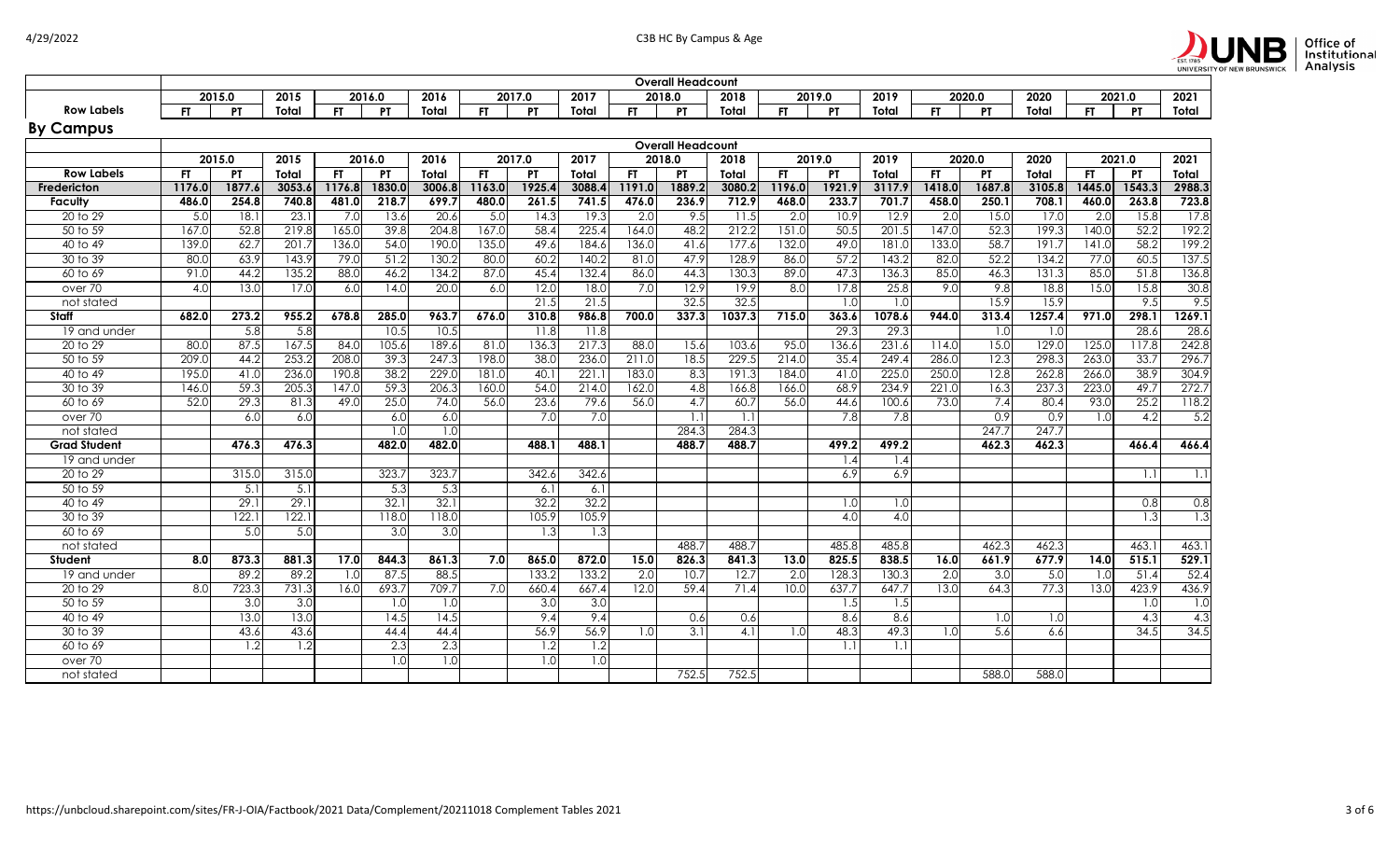

|                     |           |                   |                  |           |                  |                  |           |           |        | Overall Headcount |                          |        |                  |           |        |           |           |        |           |           |                  |
|---------------------|-----------|-------------------|------------------|-----------|------------------|------------------|-----------|-----------|--------|-------------------|--------------------------|--------|------------------|-----------|--------|-----------|-----------|--------|-----------|-----------|------------------|
|                     |           | 2015.0            | 2015             |           | 2016.0           | 2016             |           | 2017.0    | 2017   |                   | 2018.0                   | 2018   |                  | 2019.0    | 2019   |           | 2020.0    | 2020   |           | 2021.0    | 2021             |
| <b>Row Labels</b>   | <b>FT</b> | PT                | Total            | <b>FT</b> | <b>PT</b>        | Total            | <b>FT</b> | <b>PT</b> | Total  | <b>FT</b>         | PT                       | Total  | <b>FT</b>        | <b>PT</b> | Total  | <b>FT</b> | <b>PT</b> | Total  | <b>FT</b> | <b>PT</b> | Total            |
| <b>By Campus</b>    |           |                   |                  |           |                  |                  |           |           |        |                   |                          |        |                  |           |        |           |           |        |           |           |                  |
|                     |           |                   |                  |           |                  |                  |           |           |        |                   | <b>Overall Headcount</b> |        |                  |           |        |           |           |        |           |           |                  |
|                     |           | 2015.0            | 2015             |           | 2016.0           | 2016             |           | 2017.0    | 2017   |                   | 2018.0                   | 2018   |                  | 2019.0    | 2019   |           | 2020.0    | 2020   |           | 2021.0    | 2021             |
| <b>Row Labels</b>   | <b>FT</b> | <b>PT</b>         | Total            | <b>FT</b> | PT               | Total            | <b>FT</b> | <b>PT</b> | Total  | FT.               | <b>PT</b>                | Total  | FT.              | <b>PT</b> | Total  | FT.       | PT        | Total  | FT.       | <b>PT</b> | Total            |
| Fredericton         | 1176.0    | 1877.6            | 3053.6           | 1176.8    | 1830.0           | 3006.8           | 1163.0    | 1925.     | 3088.4 | 1191.0            | 1889.2                   | 3080.2 | 1196.0           | 1921.9    | 3117.9 | 1418.0    | 1687.8    | 3105.8 | 1445.0    | 1543.3    | 2988.3           |
| Faculty             | 486.0     | 254.8             | 740.8            | 481.0     | 218.7            | 699.7            | 480.0     | 261.5     | 741.5  | 476.0             | 236.9                    | 712.9  | 468.0            | 233.7     | 701.7  | 458.0     | 250.1     | 708.1  | 460.0     | 263.8     | 723.8            |
| 20 to 29            | 5.0       | 18.1              | 23.1             | 7.0       | 13.6             | 20.6             | 5.0       | 14.3      | 19.3   | 2.0               | 9.5                      | 11.5   | $\overline{2.0}$ | 10.9      | 12.9   | 2.0       | 15.0      | 17.0   | 2.0       | 15.8      | 17.8             |
| 50 to 59            | 167.0     | 52.8              | 219.8            | 165.0     | 39.8             | 204.8            | 167.C     | 58.4      | 225.4  | 164.0             | 48.2                     | 212.2  | 151.0            | 50.5      | 201.5  | 147.0     | 52.3      | 199.3  | 140.0     | 52.2      | 192.2            |
| 40 to 49            | 139.C     | 62.7              | 201.7            | 136.0     | 54.0             | 190.0            | 135.0     | 49.6      | 184.6  | 136.0             | 41.6                     | 177.6  | 132.0            | 49.0      | 181.0  | 133.0     | 58.7      | 191.7  | 141.0     | 58.2      | 199.2            |
| 30 to 39            | 80.0      | 63.9              | 143.9            | 79.0      | 51.2             | 130.2            | 80.0      | 60.2      | 140.2  | 81.0              | 47.9                     | 128.9  | 86.0             | 57.2      | 143.2  | 82.0      | 52.2      | 134.2  | 77.0      | 60.5      | 137.5            |
| 60 to 69            | 91.0      | 44.2              | 135.2            | 88.0      | 46.2             | 134.2            | 87.0      | 45.4      | 132.4  | 86.0              | 44.3                     | 130.3  | 89.0             | 47.3      | 136.3  | 85.0      | 46.3      | 131.3  | 85.C      | 51.8      | 136.8            |
| over 70             | 4.0       | 13.0              | 17.0             | 6.0       | 14.0             | 20.0             | 6.0       | 12.0      | 18.0   | 7.0               | 12.9                     | 19.9   | $\overline{8.0}$ | 17.8      | 25.8   | 9.0       | 9.8       | 18.8   | 15.0      | 15.8      | 30.8             |
| not stated          |           |                   |                  |           |                  |                  |           | 21.5      | 21.5   |                   | 32.5                     | 32.5   |                  | 1.0       | 1.0    |           | 15.9      | 15.9   |           | 9.5       | 9.5              |
| Staff               | 682.0     | 273.2             | 955.2            | 678.8     | 285.0            | 963.7            | 676.0     | 310.8     | 986.8  | 700.0             | 337.3                    | 1037.3 | 715.0            | 363.6     | 1078.6 | 944.0     | 313.4     | 1257.4 | 971.0     | 298.1     | 1269.1           |
| 19 and under        |           | 5.8               | 5.8              |           | 10.5             | 10.5             |           | 11.8      | 11.8   |                   |                          |        |                  | 29.3      | 29.3   |           | 1.0       | 1.0    |           | 28.6      | 28.6             |
| 20 to 29            | 80.0      | 87.5              | 167.5            | 84.0      | 105.6            | 189.6            | 81.0      | 136.3     | 217.3  | 88.0              | 15.6                     | 103.6  | 95.0             | 136.6     | 231.6  | 114.0     | 15.0      | 129.0  | 125.0     | 117.8     | 242.8            |
| 50 to 59            | 209.0     | 44.2              | 253.2            | 208.0     | 39.3             | 247.3            | 198.C     | 38.0      | 236.0  | 211.0             | 18.5                     | 229.5  | 214.0            | 35.4      | 249.4  | 286.0     | 12.3      | 298.3  | 263.0     | 33.7      | 296.7            |
| 40 to 49            | 195.0     | 41.0              | 236.0            | 190.8     | 38.2             | 229.0            | 181.0     | 40.       | 221.1  | 183.0             | 8.3                      | 191.3  | 184.0            | 41.0      | 225.0  | 250.0     | 12.8      | 262.8  | 266.0     | 38.9      | 304.9            |
| 30 to 39            | 146.0     | 59.3              | 205.3            | 147.0     | 59.3             | 206.3            | 160.0     | 54C       | 214.0  | 162.0             | 4.8                      | 166.8  | 166.0            | 68.9      | 234.9  | 221.0     | 16.3      | 237.3  | 223.0     | 49.7      | 272.7            |
| 60 to 69            | 52.0      | 29.3              | 81.3             | 49.0      | 25.0             | 74.0             | 56.0      | 23.6      | 79.6   | 56.0              | 4.7                      | 60.7   | 56.0             | 44.6      | 100.6  | 73.0      | 7.4       | 80.4   | 93.0      | 25.2      | 118.2            |
| over 70             |           | 6.0               | 6.0              |           | 6.0              | 6.0              |           | 7.0       | 7.0    |                   | 1.1                      | 1.1    |                  | 7.8       | 7.8    |           | 0.9       | 0.9    | 1.0       | 4.2       | 5.2              |
| not stated          |           |                   |                  |           | 1.0              | 1.0              |           |           |        |                   | 284.3                    | 284.3  |                  |           |        |           | 247.7     | 247.7  |           |           |                  |
| <b>Grad Student</b> |           | 476.3             | 476.3            |           | 482.0            | 482.0            |           | 488.1     | 488.1  |                   | 488.7                    | 488.7  |                  | 499.2     | 499.2  |           | 462.3     | 462.3  |           | 466.4     | 466.4            |
| 19 and under        |           |                   |                  |           |                  |                  |           |           |        |                   |                          |        |                  | 4. ا      | 1.4    |           |           |        |           |           |                  |
| 20 to 29            |           | 315.0             | 315.0            |           | 323.7            | 323.7            |           | 342.6     | 342.6  |                   |                          |        |                  | 6.9       | 6.9    |           |           |        |           | 1.1       | 1.1              |
| 50 to 59            |           | 5.1               | 5.1              |           | 5.3              | 5.3              |           | 6.1       | 6.1    |                   |                          |        |                  |           |        |           |           |        |           |           |                  |
| 40 to 49            |           | $\overline{29}$ . | 29.1             |           | 32.1             | 32.1             |           | 32.2      | 32.2   |                   |                          |        |                  | 1.0       | 1.0    |           |           |        |           | 0.8       | 0.8              |
| 30 to 39            |           | 122.1             | 122.1            |           | 118.0            | 118.0            |           | 105.9     | 105.9  |                   |                          |        |                  | 4.0       | 4.0    |           |           |        |           | 1.3       | 1.3              |
| 60 to 69            |           | 5.0               | $\overline{5.0}$ |           | $\overline{3.0}$ | 3.0              |           | 1.3       | 1.3    |                   |                          |        |                  |           |        |           |           |        |           |           |                  |
| not stated          |           |                   |                  |           |                  |                  |           |           |        |                   | 488.7                    | 488.7  |                  | 485.8     | 485.8  |           | 462.3     | 462.3  |           | 463.      | 463.1            |
| <b>Student</b>      | 8.0       | 873.3             | 881.3            | 17.0      | 844.3            | 861.3            | 7.0       | 865.0     | 872.0  | 15.0              | 826.3                    | 841.3  | 13.0             | 825.5     | 838.5  | 16.0      | 661.9     | 677.9  | 14.0      | 515.1     | 529.1            |
| 19 and under        |           | 89.2              | 89.2             | 1.0       | 87.5             | 88.5             |           | 133.2     | 133.2  | 2.0               | 10.7                     | 12.7   | 2.0              | 128.3     | 130.3  | 2.0       | 3.0       | 5.0    | 1.0       | 51.4      | 52.4             |
| 20 to 29            | 8.0       | 723.3             | 731.3            | 16.0      | 693.7            | 709.7            | 7.0       | 660.4     | 667.4  | 12.0              | 59.4                     | 71.4   | 10.0             | 637.7     | 647.7  | 13.0      | 64.3      | 77.3   | 13.0      | 423.9     | 436.9            |
| 50 to 59            |           | 3.0               | 3.0              |           | 1.0              | $\overline{1.0}$ |           | 3.0       | 3.0    |                   |                          |        |                  | 1.5       | 1.5    |           |           |        |           | 1.0       | $\overline{1.0}$ |
| 40 to 49            |           | 13.0              | 13.0             |           | 14.5             | 14.5             |           | 9,4       | 9.4    |                   | 0.6                      | 0.6    |                  | 8.6       | 8.6    |           | 1.0       | 1.0    |           | 4.3       | 4.3              |
| 30 to 39            |           | 43.6              | 43.6             |           | 44.4             | 44.4             |           | 56.9      | 56.9   | 1.0               | 3.1                      | 4.1    | 1.0              | 48.3      | 49.3   | 1.0       | 5.6       | 6.6    |           | 34.5      | 34.5             |
| 60 to 69            |           | 1.2               | 1.2              |           | 2.3              | 2.3              |           | 1.2       | 1.2    |                   |                          |        |                  |           | 1.1    |           |           |        |           |           |                  |
| over 70             |           |                   |                  |           | 1.0              | $\overline{1.0}$ |           | 1.0       | 0.1    |                   |                          |        |                  |           |        |           |           |        |           |           |                  |
| not stated          |           |                   |                  |           |                  |                  |           |           |        |                   | 752.5                    | 752.5  |                  |           |        |           | 588.0     | 588.0  |           |           |                  |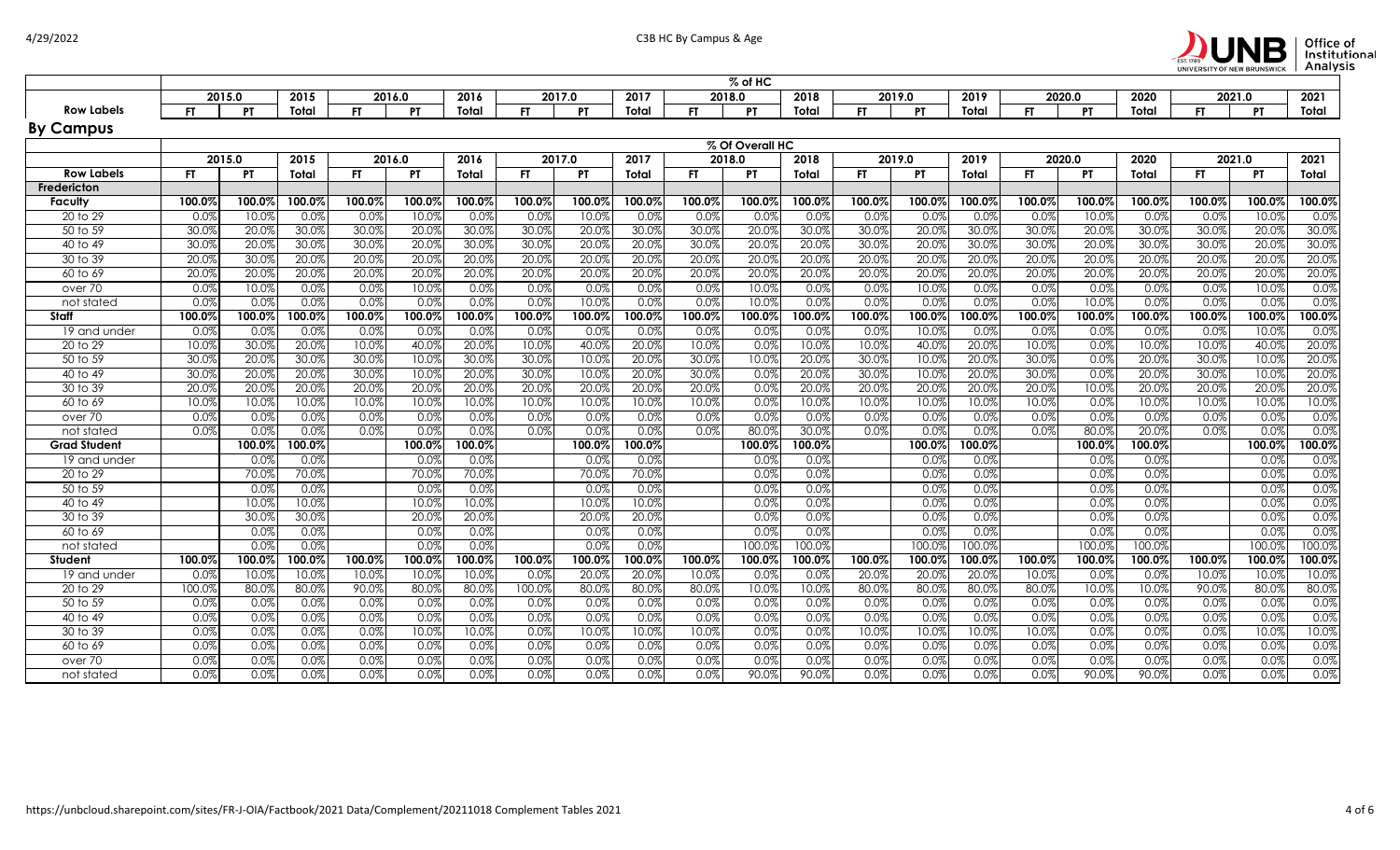

|                     | % of HC<br>2015.0<br>2017.0<br>2017<br>2018<br>2019.0<br>2019<br>2020<br>2021<br>2015<br>2016.0<br>2016<br>2018.0<br>2020.0<br>2021.0 |           |        |           |           |        |           |           |        |           |                 |        |           |           |          |        |           |              |        |           |        |
|---------------------|---------------------------------------------------------------------------------------------------------------------------------------|-----------|--------|-----------|-----------|--------|-----------|-----------|--------|-----------|-----------------|--------|-----------|-----------|----------|--------|-----------|--------------|--------|-----------|--------|
|                     |                                                                                                                                       |           |        |           |           |        |           |           |        |           |                 |        |           |           |          |        |           |              |        |           |        |
| <b>Row Labels</b>   | FT.                                                                                                                                   | PT        | Total  | <b>FT</b> | PT        | Total  | FT.       | <b>PT</b> | Total  | <b>FT</b> | PT              | Total  | <b>FT</b> | P1        | Total    | FT     | P1        | Total        | FT.    | PT        | Total  |
| <b>By Campus</b>    |                                                                                                                                       |           |        |           |           |        |           |           |        |           |                 |        |           |           |          |        |           |              |        |           |        |
|                     |                                                                                                                                       |           |        |           |           |        |           |           |        |           | % Of Overall HC |        |           |           |          |        |           |              |        |           |        |
|                     | 2015.0                                                                                                                                |           | 2015   |           | 2016.0    | 2016   |           | 2017.0    | 2017   | 2018.0    |                 | 2018   |           | 2019.0    | 2019     | 2020.0 |           | 2020         |        | 2021.0    | 2021   |
| <b>Row Labels</b>   | FT.                                                                                                                                   | <b>PT</b> | Total  | FT        | <b>PT</b> | Total  | FT.       | <b>PT</b> | Total  | <b>FT</b> | PT.             | Total  | <b>FT</b> | <b>PT</b> | Total    | FT.    | PT        | <b>Total</b> | FT.    | <b>PT</b> | Total  |
| Fredericton         |                                                                                                                                       |           |        |           |           |        |           |           |        |           |                 |        |           |           |          |        |           |              |        |           |        |
| <b>Faculty</b>      | 100.0%                                                                                                                                | 100.0%    | 100.0% | 100.0%    | 100.0%    | 100.0% | 100.0%    | 100.0%    | 100.0% | 100.0%    | 100.0%          | 100.0% | 100.0%    | 100.0%    | 100.0%   | 100.0% | 100.0%    | 100.0%       | 100.0% | 100.0%    | 100.0% |
| 20 to 29            | 0.0%                                                                                                                                  | 10.0%     | 0.0%   | 0.0%      | 10.0%     | 0.0%   | 0.0%      | 10.0%     | 0.0%   | 0.0%      | 0.09            | 0.0%   | 0.0%      | 0.09      | 0.0%     | 0.0%   | 10.0%     | 0.0%         | 0.0%   | 10.0%     | 0.0%   |
| 50 to 59            | 30.0%                                                                                                                                 | 20.0%     | 30.0%  | 30.0%     | 20.0%     | 30.0%  | 30.0%     | 20.0%     | 30.0%  | 30.0%     | 20.0%           | 30.0%  | 30.0%     | 20.0%     | 30.0%    | 30.0%  | 20.0%     | 30.0%        | 30.0%  | 20.0%     | 30.0%  |
| 40 to 49            | 30.0%                                                                                                                                 | 20.0%     | 30.0%  | 30.09     | 20.0%     | 30.0%  | 30.0%     | 20.0%     | 20.0%  | 30.0%     | 20.0%           | 20.0%  | 30.0%     | 20.09     | 30.0%    | 30.0%  | 20.0%     | 30.0%        | 30.0%  | 20.0%     | 30.0%  |
| 30 to 39            | 20.0%                                                                                                                                 | 30.0%     | 20.0%  | 20.0%     | 20.0%     | 20.0%  | 20.0%     | 20.0%     | 20.0%  | 20.0%     | 20.0%           | 20.0%  | 20.0%     | 20.0%     | 20.0%    | 20.0%  | 20.0%     | 20.0%        | 20.0%  | 20.0%     | 20.0%  |
| 60 to 69            | 20.0%                                                                                                                                 | 20.0%     | 20.0%  | 20.09     | 20.0%     | 20.0%  | 20.0%     | 20.0%     | 20.0%  | 20.0%     | 20.0%           | 20.0%  | 20.0%     | 20.09     | 20.0%    | 20.0%  | 20.0%     | 20.0%        | 20.0%  | 20.0%     | 20.0%  |
| over 70             | 0.0%                                                                                                                                  | 10.0%     | 0.0%   | 0.0%      | 10.0%     | 0.0%   | 0.0%      | 0.0%      | 0.0%   | 0.0%      | 10.0%           | 0.0%   | 0.0%      | 10.0%     | 0.0%     | 0.0%   | 0.0%      | 0.0%         | 0.0%   | 10.0%     | 0.0%   |
| not stated          | 0.0%                                                                                                                                  | 0.0%      | 0.0%   | 0.0%      | 0.0%      | 0.0%   | 0.0%      | 10.0%     | 0.0%   | 0.0%      | 10.0%           | 0.0%   | 0.0%      | 0.0%      | 0.0%     | 0.0%   | 10.0%     | 0.0%         | 0.0%   | 0.0%      | 0.0%   |
| <b>Staff</b>        | 100.0%                                                                                                                                | 100.0%    | 100.0% | 100.0%    | 100.0%    | 100.0% | 100.0%    | 100.0%    | 100.0% | 100.0%    | 100.0%          | 100.0% | 100.0%    | 100.0%    | 100.0%   | 100.0% | $100.0\%$ | $100.0\%$    | 100.0% | 100.0%    | 100.0% |
| 19 and under        | 0.0%                                                                                                                                  | 0.0%      | 0.0%   | 0.09      | 0.0%      | 0.0%   | 0.0%      | 0.0%      | 0.0%   | 0.0%      | 0.0%            | 0.0%   | 0.0%      | 10.09     | 0.0%     | 0.0%   | 0.0%      | 0.0%         | 0.0%   | 10.0%     | 0.0%   |
| 20 to 29            | 10.0%                                                                                                                                 | 30.0%     | 20.0%  | 10.0%     | 40.0%     | 20.0%  | 10.0%     | 40.0%     | 20.0%  | 10.0%     | 0.0%            | 10.0%  | 10.0%     | 40.0%     | 20.0%    | 10.0%  | 0.0%      | 10.0%        | 10.0%  | 40.0%     | 20.0%  |
| 50 to 59            | 30.0%                                                                                                                                 | 20.0%     | 30.0%  | 30.09     | 10.0%     | 30.0%  | 30.0%     | 10.0%     | 20.0%  | 30.0%     | 10.0%           | 20.0%  | 30.0%     | 10.09     | 20.0%    | 30.0%  | 0.0%      | 20.0%        | 30.0%  | 10.0%     | 20.0%  |
| 40 to 49            | 30.0%                                                                                                                                 | 20.0%     | 20.0%  | 30.0%     | 10.0%     | 20.0%  | 30.0%     | 10.0%     | 20.0%  | 30.0%     | 0.0%            | 20.0%  | 30.0%     | 10.09     | 20.0%    | 30.0%  | 0.0%      | 20.0%        | 30.0%  | 10.0%     | 20.0%  |
| 30 to 39            | 20.0%                                                                                                                                 | 20.0%     | 20.0%  | 20.09     | 20.0%     | 20.0%  | 20.0%     | 20.0%     | 20.0%  | 20.0%     | 0.0%            | 20.0%  | 20.0%     | 20.09     | 20.0%    | 20.0%  | 10.0%     | 20.0%        | 20.0%  | 20.0%     | 20.0%  |
| 60 to 69            | 10.0%                                                                                                                                 | 10.0%     | 10.0%  | 10.0%     | 10.0%     | 10.0%  | 10.0%     | 10.0%     | 10.0%  | 10.0%     | 0.0%            | 10.0%  | 10.0%     | 10.09     | 10.0%    | 10.0%  | 0.0%      | 10.0%        | 10.0%  | 10.0%     | 10.0%  |
| over 70             | 0.0%                                                                                                                                  | 0.0%      | 0.0%   | 0.0%      | 0.0%      | 0.0%   | 0.0%      | 0.0%      | 0.0%   | 0.0%      | 0.0%            | 0.0%   | 0.0%      | 0.09      | 0.0%     | 0.0%   | 0.0%      | 0.0%         | 0.0%   | 0.0%      | 0.0%   |
| not stated          | 0.0%                                                                                                                                  | 0.0%      | 0.0%   | 0.0%      | 0.0%      | 0.0%   | 0.0%      | 0.0%      | 0.0%   | 0.0%      | 80.0%           | 30.0%  | 0.0%      | 0.0%      | 0.0%     | 0.0%   | 80.0%     | 20.0%        | 0.0%   | 0.0%      | 0.0%   |
| <b>Grad Student</b> |                                                                                                                                       | 100.0%    | 100.0% |           | 100.0%    | 100.0% |           | 100.0%    | 100.0% |           | 100.0%          | 100.0% |           | 100.09    | 100.0%   |        | 100.0%    | 100.0%       |        | 100.0%    | 100.0% |
| 19 and under        |                                                                                                                                       | 0.0%      | 0.0%   |           | 0.0%      | 0.0%   |           | 0.0%      | 0.0%   |           | 0.0%            | 0.0%   |           | 0.0%      | 0.0%     |        | 0.0%      | 0.0%         |        | 0.0%      | 0.0%   |
| 20 to 29            |                                                                                                                                       | 70.0%     | 70.0%  |           | 70.0%     | 70.0%  |           | 70.0%     | 70.0%  |           | 0.0%            | 0.0%   |           | 0.09      | 0.0%     |        | 0.0%      | 0.0%         |        | 0.0%      | 0.0%   |
| 50 to 59            |                                                                                                                                       | 0.0%      | 0.0%   |           | 0.0%      | 0.0%   |           | 0.0%      | 0.0%   |           | 0.0%            | 0.0%   |           | 0.0%      | 0.0%     |        | 0.0%      | 0.0%         |        | 0.0%      | 0.0%   |
| 40 to 49            |                                                                                                                                       | 10.0%     | 10.0%  |           | 10.0%     | 10.0%  |           | 10.0%     | 10.0%  |           | 0.0%            | 0.0%   |           | 0.0%      | 0.0%     |        | 0.0%      | 0.0%         |        | 0.0%      | 0.0%   |
| 30 to 39            |                                                                                                                                       | 30.0%     | 30.0%  |           | 20.0%     | 20.0%  |           | 20.0%     | 20.0%  |           | 0.0%            | 0.0%   |           | 0.0%      | 0.0%     |        | 0.0%      | 0.0%         |        | 0.0%      | 0.0%   |
| 60 to 69            |                                                                                                                                       | 0.0%      | 0.0%   |           | 0.0%      | 0.0%   |           | 0.0%      | 0.0%   |           | 0.0%            | 0.0%   |           | 0.09      | 0.0%     |        | 0.0%      | 0.0%         |        | 0.0%      | 0.0%   |
| not stated          |                                                                                                                                       | 0.0%      | 0.0%   |           | 0.0%      | 0.0%   |           | 0.0%      | 0.0%   |           | 100.0%          | 100.0% |           | 100.09    | 100.0%   |        | 100.0%    | 100.0%       |        | 100.0%    | 100.0% |
| Student             | 100.0%                                                                                                                                | 100.0%    | 100.0% | 100.0%    | 100.0%    | 100.0% | $100.0\%$ | 100.0%    | 100.0% | 100.0%    | 100.0%          | 100.0% | 100.0%    | 100.07    | 100.0%   | 100.0% | $100.0\%$ | 100.0%       | 100.0% | 100.0%    | 100.0% |
| 19 and under        | 0.0%                                                                                                                                  | 10.0%     | 10.0%  | 10.0%     | 10.0%     | 10.0%  | 0.0%      | 20.0%     | 20.0%  | 10.0%     | 0.0%            | 0.0%   | 20.0%     | 20.0%     | 20.0%    | 10.0%  | 0.0%      | 0.0%         | 10.0%  | 10.0%     | 10.0%  |
| 20 to 29            | 100.0%                                                                                                                                | 80.0%     | 80.0%  | 90.0%     | 80.0%     | 80.0%  | 100.0%    | 80.0%     | 80.0%  | 80.0%     | 10.0%           | 10.0%  | 80.0%     | 80.09     | 80.0%    | 80.0%  | 10.0%     | 10.0%        | 90.0%  | 80.0%     | 80.0%  |
| 50 to 59            | 0.0%                                                                                                                                  | 0.0%      | 0.0%   | 0.0%      | 0.0%      | 0.0%   | 0.0%      | 0.0%      | 0.0%   | 0.0%      | 0.0%            | 0.0%   | 0.0%      | 0.0%      | 0.0%     | 0.0%   | 0.0%      | 0.0%         | 0.0%   | 0.0%      | 0.0%   |
| 40 to 49            | 0.0%                                                                                                                                  | 0.0%      | 0.0%   | 0.0%      | 0.0%      | 0.0%   | 0.0%      | 0.0%      | 0.0%   | 0.0%      | 0.0%            | 0.0%   | 0.0%      | 0.0%      | 0.0%     | 0.0%   | 0.0%      | 0.0%         | 0.0%   | 0.0%      | 0.0%   |
| 30 to 39            | 0.0%                                                                                                                                  | 0.0%      | 0.0%   | 0.0%      | 10.0%     | 10.0%  | 0.0%      | 10.0%     | 10.0%  | 10.0%     | 0.0%            | 0.0%   | 10.0%     | 10.09     | $10.0\%$ | 10.0%  | 0.0%      | 0.0%         | 0.0%   | 10.0%     | 10.0%  |
| 60 to 69            | 0.0%                                                                                                                                  | 0.0%      | 0.0%   | 0.0%      | 0.0%      | 0.0%   | 0.0%      | 0.0%      | 0.0%   | 0.0%      | 0.0%            | 0.0%   | 0.0%      | 0.0%      | 0.0%     | 0.0%   | 0.0%      | 0.0%         | 0.0%   | 0.0%      | 0.0%   |
| over 70             | 0.0%                                                                                                                                  | 0.0%      | 0.0%   | 0.0%      | 0.0%      | 0.0%   | 0.0%      | 0.0%      | 0.0%   | 0.0%      | 0.0%            | 0.0%   | 0.0%      | 0.09      | 0.0%     | 0.0%   | 0.0%      | 0.0%         | 0.0%   | 0.0%      | 0.0%   |
| not stated          | 0.0%                                                                                                                                  | 0.0%      | 0.0%   | 0.0%      | 0.0%      | 0.0%   | 0.0%      | 0.0%      | 0.0%   | 0.0%      | 90.0%           | 90.0%  | 0.0%      | 0.0%      | 0.0%     | 0.0%   | 90.0%     | 90.0%        | 0.0%   | 0.0%      | 0.0%   |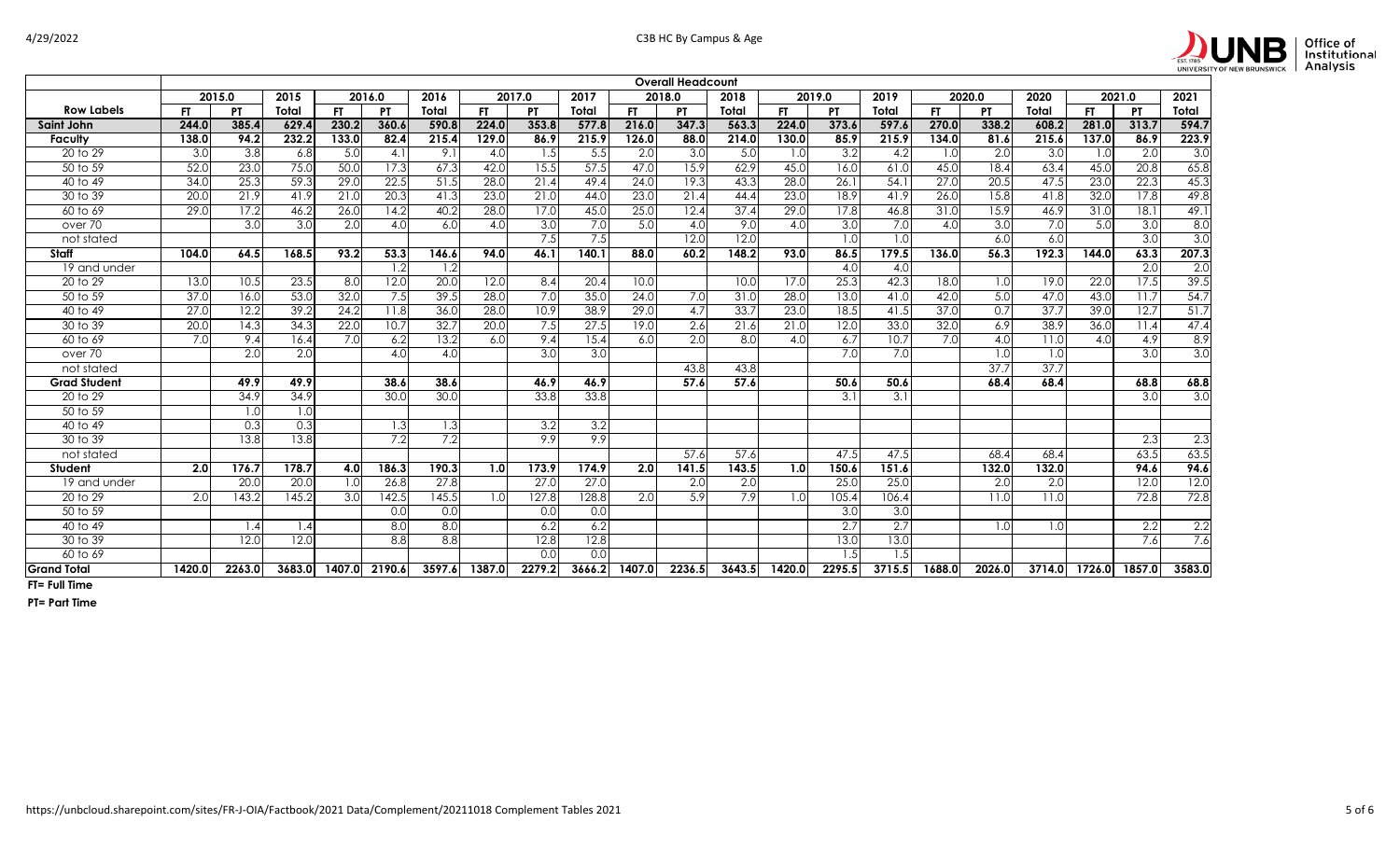

|                       | <b>Overall Headcount</b><br>2015<br>2016<br>2017<br>2019<br>2020<br>2015.0<br>2016.0<br>2017.0<br>2018.0<br>2018<br>2019.0<br>2020.0<br>2021.0 |                   |        |           |                  |        |           |           |        |        |           |        |        |                  |        |        |                   |        |           |                   |        |
|-----------------------|------------------------------------------------------------------------------------------------------------------------------------------------|-------------------|--------|-----------|------------------|--------|-----------|-----------|--------|--------|-----------|--------|--------|------------------|--------|--------|-------------------|--------|-----------|-------------------|--------|
|                       |                                                                                                                                                |                   |        |           |                  |        |           |           |        |        |           |        |        |                  |        |        |                   |        |           |                   | 2021   |
| <b>Row Labels</b>     | <b>FT</b>                                                                                                                                      | <b>PT</b>         | Total  | <b>FT</b> | <b>PT</b>        | Total  | <b>FT</b> | <b>PT</b> | Total  | FT.    | <b>PT</b> | Total  | FT.    | <b>PT</b>        | Total  | FT.    | <b>PT</b>         | Total  | <b>FT</b> | <b>PT</b>         | Total  |
| Saint John            | 244.0                                                                                                                                          | 385.4             | 629.4  | 230.2     | 360.6            | 590.8  | 224.0     | 353.8     | 577.8  | 216.0  | 347.3     | 563.3  | 224.0  | 373.6            | 597.6  | 270.0  | 338.2             | 608.2  | 281.0     | 313.7             | 594.7  |
| Faculty               | 138.0                                                                                                                                          | 94.2              | 232.2  | 133.0     | 82.4             | 215.4  | 129.0     | 86.9      | 215.9  | 126.0  | 88.0      | 214.0  | 130.0  | 85.9             | 215.9  | 134.0  | 81.6              | 215.6  | 137.0     | 86.9              | 223.9  |
| 20 to 29              | 3.0                                                                                                                                            | $\overline{3.8}$  | 6.8    | 5.0       | 4.1              | 9.1    | 4.0       | 1.5       | 5.5    | 2.0    | 3.0       | 5.0    | 1.0    | $\overline{3.2}$ | 4.2    | 1.0    | 2.0               | 3.0    | 1.0       | 2.0               | 3.0    |
| 50 to 59              | 52.0                                                                                                                                           | 23.0              | 75.0   | 50.0      | 17.3             | 67.3   | 42.0      | 15.5      | 57.5   | 47.0   | 15.9      | 62.9   | 45.0   | 16.0             | 61.0   | 45.0   | 18.4              | 63.4   | 45.0      | 20.8              | 65.8   |
| $\overline{40}$ to 49 | 34.0                                                                                                                                           | 25.3              | 59.3   | 29.0      | 22.5             | 51.5   | 28.0      | 21.4      | 49.4   | 24.0   | 19.3      | 43.3   | 28.0   | 26.1             | 54.1   | 27.0   | 20.5              | 47.5   | 23.0      | 22.3              | 45.3   |
| 30 to 39              | 20.0                                                                                                                                           | 21.9              | 41.9   | 21.0      | 20.3             | 41.3   | 23.0      | 21.0      | 44.0   | 23.0   | 21.4      | 44.4   | 23.0   | 18.9             | 41.9   | 26.0   | 15.8              | 41.8   | 32.0      | 17.8              | 49.8   |
| 60 to 69              | 29.0                                                                                                                                           | 17.2              | 46.2   | 26.0      | 14.2             | 40.2   | 28.0      | 17.0      | 45.0   | 25.0   | 12.4      | 37.4   | 29.0   | 17.8             | 46.8   | 31.0   | 15.9              | 46.9   | 31.0      | 18.1              | 49.1   |
| over 70               |                                                                                                                                                | 3.0               | 3.0    | 2.0       | 4.0              | 6.0    | 4.0       | 3.0       | 7.0    | 5.0    | 4.0       | 9.0    | 4.0    | 3.0              | 7.0    | 4.0    | 3.0               | 7.0    | 5.0       | 3.0               | 8.0    |
| not stated            |                                                                                                                                                |                   |        |           |                  |        |           | 7.5       | 7.5    |        | 12.0      | 12.0   |        | 1.0              | 1.0    |        | 6.0               | 6.0    |           | 3.0               | 3.0    |
| Staff                 | 104.0                                                                                                                                          | 64.5              | 168.5  | 93.2      | 53.3             | 146.6  | 94.0      | 46.1      | 140.1  | 88.0   | 60.2      | 148.2  | 93.0   | 86.5             | 179.5  | 136.0  | 56.3              | 192.3  | 144.0     | 63.3              | 207.3  |
| 19 and under          |                                                                                                                                                |                   |        |           | 1.2              | 1.2    |           |           |        |        |           |        |        | 4.0              | 4.0    |        |                   |        |           | 2.0               | 2.0    |
| 20 to 29              | 13.0                                                                                                                                           | 10.5              | 23.5   | 8.0       | 12.0             | 20.0   | 12.0      | 8.4       | 20.4   | 10.0   |           | 10.0   | 17.0   | 25.3             | 42.3   | 18.0   | 1.0               | 19.0   | 22.0      | 17.5              | 39.5   |
| 50 to 59              | 37.0                                                                                                                                           | 16.0              | 53.0   | 32.0      | 7.5              | 39.5   | 28.0      | 7.0       | 35.0   | 24.0   | 7.0       | 31.0   | 28.0   | 13.0             | 41.0   | 42.0   | 5.0               | 47.0   | 43.0      | $\overline{11.7}$ | 54.7   |
| 40 to 49              | 27.0                                                                                                                                           | 12.2              | 39.2   | 24.2      | 11.8             | 36.0   | 28.0      | 10.9      | 38.9   | 29.0   | 4.7       | 33.7   | 23.0   | 18.5             | 41.5   | 37.0   | 0.7               | 37.7   | 39.0      | 12.7              | 51.7   |
| 30 to 39              | 20.0                                                                                                                                           | 14.3              | 34.3   | 22.0      | 10.7             | 32.7   | 20.0      | 7.5       | 27.5   | 19.0   | 2.6       | 21.6   | 21.0   | 12.0             | 33.0   | 32.0   | 6.9               | 38.9   | 36.0      | 11.4              | 47.4   |
| 60 to 69              | 7.0                                                                                                                                            | 9.4               | 16.4   | 7.0       | 6.2              | 13.2   | 6.0       | 9.4       | 15.4   | 6.0    | 2.0       | 8.0    | 4.0    | 6.7              | 10.7   | 7.0    | 4.0               | 11.0   | 4.0       | 4.9               | 8.9    |
| over 70               |                                                                                                                                                | $\overline{2.0}$  | 2.0    |           | 4.0              | 4.0    |           | 3.0       | 3.0    |        |           |        |        | 7.0              | 7.0    |        | 1.0               | 1.0    |           | 3.0               | 3.0    |
| not stated            |                                                                                                                                                |                   |        |           |                  |        |           |           |        |        | 43.8      | 43.8   |        |                  |        |        | $\overline{37.7}$ | 37.7   |           |                   |        |
| <b>Grad Student</b>   |                                                                                                                                                | 49.9              | 49.9   |           | 38.6             | 38.6   |           | 46.9      | 46.9   |        | 57.6      | 57.6   |        | 50.6             | 50.6   |        | 68.4              | 68.4   |           | 68.8              | 68.8   |
| 20 to 29              |                                                                                                                                                | 34.9              | 34.9   |           | 30.0             | 30.0   |           | 33.8      | 33.8   |        |           |        |        | 3.1              | 3.1    |        |                   |        |           | $\overline{3.0}$  | 3.0    |
| 50 to 59              |                                                                                                                                                | 1.0               | 1.0    |           |                  |        |           |           |        |        |           |        |        |                  |        |        |                   |        |           |                   |        |
| 40 to 49              |                                                                                                                                                | 0.3               | 0.3    |           | 1.3              | 1.3    |           | 3.2       | 3.2    |        |           |        |        |                  |        |        |                   |        |           |                   |        |
| 30 to 39              |                                                                                                                                                | $\overline{13.8}$ | 13.8   |           | 7.2              | 7.2    |           | 9.9       | 9.9    |        |           |        |        |                  |        |        |                   |        |           | 2.3               | 2.3    |
| not stated            |                                                                                                                                                |                   |        |           |                  |        |           |           |        |        | 57.6      | 57.6   |        | 47.5             | 47.5   |        | 68.4              | 68.4   |           | 63.5              | 63.5   |
| Student               | 2.0                                                                                                                                            | 176.7             | 178.7  | 4.0       | 186.3            | 190.3  | 1.0       | 173.9     | 174.9  | 2.0    | 141.5     | 143.5  | 1.0    | 150.6            | 151.6  |        | 132.0             | 132.0  |           | 94.6              | 94.6   |
| 19 and under          |                                                                                                                                                | 20.0              | 20.0   | 1.0       | 26.8             | 27.8   |           | 27.0      | 27.0   |        | 2.0       | 2.0    |        | 25.0             | 25.0   |        | 2.0               | 2.0    |           | 12.0              | 12.0   |
| 20 to 29              | 2.0                                                                                                                                            | 143.2             | 145.2  | 3.0       | 142.5            | 145.5  | 1.0       | 127.8     | 128.8  | 2.0    | 5.9       | 7.9    | 1.0    | 105.4            | 106.4  |        | 11.0              | 11.0   |           | 72.8              | 72.8   |
| 50 to 59              |                                                                                                                                                |                   |        |           | 0.0              | 0.0    |           | 0.0       | 0.0    |        |           |        |        | 3.0              | 3.0    |        |                   |        |           |                   |        |
| 40 to 49              |                                                                                                                                                | 1.4               | 1.4    |           | $\overline{8.0}$ | 8.0    |           | 6.2       | 6.2    |        |           |        |        | 2.7              | 2.7    |        | 1.0               | 1.0    |           | 2.2               | 2.2    |
| 30 to 39              |                                                                                                                                                | 12.0              | 12.0   |           | 8.8              | 8.8    |           | 12.8      | 12.8   |        |           |        |        | 13.0             | 13.0   |        |                   |        |           | 7.6               | 7.6    |
| 60 to 69              |                                                                                                                                                |                   |        |           |                  |        |           | 0.0       | 0.0    |        |           |        |        | 1.5              | 1.5    |        |                   |        |           |                   |        |
| <b>Grand Total</b>    | 1420.0                                                                                                                                         | 2263.0            | 3683.0 | 1407.0    | 2190.6           | 3597.6 | 1387.0    | 2279.2    | 3666.2 | 1407.0 | 2236.5    | 3643.5 | 1420.0 | 2295.5           | 3715.5 | 1688.0 | 2026.0            | 3714.0 | 1726.0    | 1857.0            | 3583.0 |

**FT= Full Time**

**PT= Part Time**